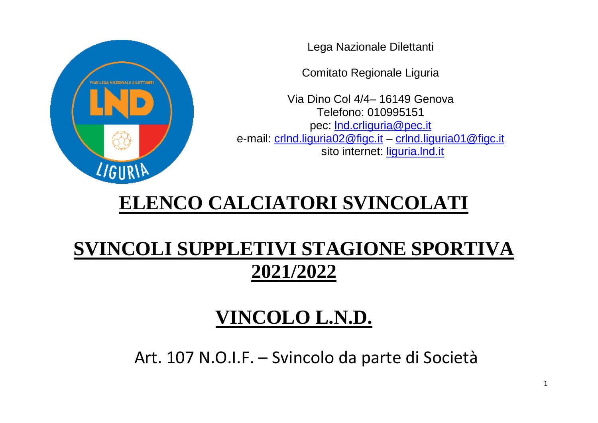

Lega Nazionale Dilettanti

Comitato Regionale Liguria

Via Dino Col 4/4– 16149 Genova Telefono: 010995151 pec: Ind.crliguria@pec.it e-mail: [crlnd.liguria02@figc.it](mailto:crlnd.liguria02@figc.it) – [crlnd.liguria01@figc.it](mailto:crlnd.liguria01@figc.it) sito internet: [liguria.lnd.it](http://www.lnd.it/)

## **ELENCO CALCIATORI SVINCOLATI**

## **SVINCOLI SUPPLETIVI STAGIONE SPORTIVA 2021/2022**

## **VINCOLO L.N.D.**

Art. 107 N.O.I.F. – Svincolo da parte di Società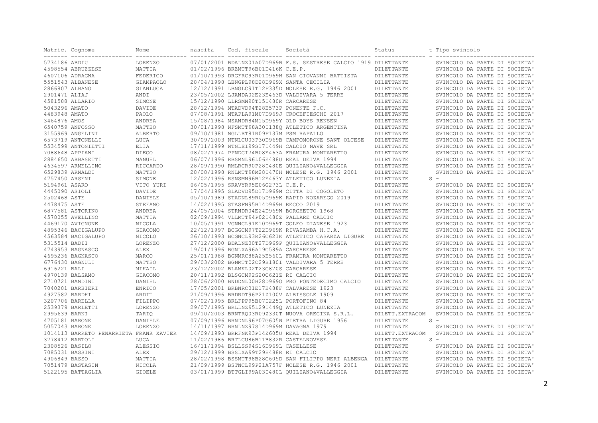|                              | Matric. Cognome<br>------- ----------------- | Nome          | nascita | Cod. fiscale                                 | Società                                                          | Status           | t Tipo svincolo               |
|------------------------------|----------------------------------------------|---------------|---------|----------------------------------------------|------------------------------------------------------------------|------------------|-------------------------------|
| 5734186 ABDIU                |                                              | LORENZO       |         |                                              | 07/01/2001 BDALNZ01A07D969B F.S. SESTRESE CALCIO 1919 DILETTANTE |                  | SVINCOLO DA PARTE DI SOCIETA' |
|                              | 4598554 ABRUZZESE                            | MATTIA        |         | 01/02/1996 BRZMTT96B01D416K C.E.P.           |                                                                  | DILETTANTE       | SVINCOLO DA PARTE DI SOCIETA' |
|                              | 4607106 ADRAGNA                              | FEDERICO      |         |                                              | 01/10/1993 DRGFRC93R01D969H SAN GIOVANNI BATTISTA                | DILETTANTE       | SVINCOLO DA PARTE DI SOCIETA' |
|                              | 5551543 ALBANESE                             | GIAMPAOLO     |         | 28/04/1998 LBNGPL98D28D969X SANTA CECILIA    |                                                                  | DILETTANTE       | SVINCOLO DA PARTE DI SOCIETA' |
| 2866807 ALBANO               |                                              | GIANLUCA      |         |                                              | 12/12/1991 LBNGLC91T12F335D NOLESE R.G. 1946 2001                | DILETTANTE       | SVINCOLO DA PARTE DI SOCIETA' |
| 2901471 ALIAJ                |                                              | ANDI          |         |                                              | 23/05/2002 LJANDA02E23E463D VALDIVARA 5 TERRE                    | DILETTANTE       | SVINCOLO DA PARTE DI SOCIETA' |
|                              | 4581588 ALLARIO                              | SIMONE        |         | 15/12/1990 LLRSMN90T15I480R CARCARESE        |                                                                  | DILETTANTE       | SVINCOLO DA PARTE DI SOCIETA' |
| 5043296 AMATO                |                                              | DAVIDE        |         | 28/12/1994 MTADVD94T28E573P PONENTE F.C.     |                                                                  | DILETTANTE       | SVINCOLO DA PARTE DI SOCIETA' |
| 4483948 AMATO                |                                              | PAOLO         |         |                                              | 07/08/1991 MTAPLA91M07D969J CROCEFIESCHI 2017                    | DILETTANTE       | SVINCOLO DA PARTE DI SOCIETA' |
| 3464876 AMOS                 |                                              | ANDREA        |         | 15/08/1984 MSANDR84M15D969Y OLD BOYS RENSEN  |                                                                  | DILETTANTE       | SVINCOLO DA PARTE DI SOCIETA' |
|                              | 6540759 ANFOSSO                              | MATTEO        |         |                                              | 30/01/1998 NFSMTT98A30I1380 ATLETICO ARGENTINA                   | DILETTANTE       | SVINCOLO DA PARTE DI SOCIETA' |
|                              | 3155969 ANGELINI                             | ALBERTO       |         | 09/10/1981 NGLLRT81R09F137M PSM RAPALLO      |                                                                  | DILETTANTE       | SVINCOLO DA PARTE DI SOCIETA' |
|                              | 6573719 ANTONELLI                            | LUCA          |         |                                              | 30/09/2003 NTNLCU03P30D969B CAMPOMORONE SANT OLCESE              | DILETTANTE       | SVINCOLO DA PARTE DI SOCIETA' |
|                              | 5534599 ANTONIETTI                           | ELIA          |         | 17/11/1999 NTNLEI99S17I449H CALCIO NAVE SRL  |                                                                  | DILETTANTE       | SVINCOLO DA PARTE DI SOCIETA' |
| 7088648 APPIANI              |                                              | DIEGO         |         |                                              | 08/02/1974 PPNDGI74B08E463A FRAMURA MONTARETTO                   | DILETTANTE       | SVINCOLO DA PARTE DI SOCIETA' |
|                              | 2884650 ARBASETTI                            | MANUEL        |         | 06/07/1996 RBSMNL96L06E488U REAL DEIVA 1994  |                                                                  | DILETTANTE       | SVINCOLO DA PARTE DI SOCIETA' |
|                              | 4634597 ARMELLINO                            | RICCARDO      |         |                                              | 28/09/1990 RMLRCR90P28I480E OUILIANO&VALLEGGIA                   | DILETTANTE       | SVINCOLO DA PARTE DI SOCIETA' |
|                              | 6529839 ARNALDI                              | MATTEO        |         |                                              | 28/08/1998 RNLMTT98M28I470H NOLESE R.G. 1946 2001                | DILETTANTE       | SVINCOLO DA PARTE DI SOCIETA' |
| 4757450 ARSENI               |                                              | SIMONE        |         | 12/02/1996 RSNSMN96B12E463Y ATLETICO LUNEZIA |                                                                  |                  | $S =$                         |
| 5194961 ASARO                |                                              |               |         | 06/05/1995 SRAVYR95E06G273L C.E.P.           |                                                                  | DILETTANTE       |                               |
|                              |                                              | VITO YURI     |         |                                              | 17/04/1995 SLADVD95D17D969M CITTA DI COGOLETO                    | DILETTANTE       | SVINCOLO DA PARTE DI SOCIETA' |
| 4445090 ASIOLI               |                                              | DAVIDE        |         |                                              | 05/10/1989 STADNL89R05D969K RAPID NOZAREGO 2019                  | DILETTANTE       | SVINCOLO DA PARTE DI SOCIETA' |
| 2502468 ASTE<br>4478475 ASTE |                                              | DANIELE       |         |                                              |                                                                  | DILETTANTE       | SVINCOLO DA PARTE DI SOCIETA' |
|                              |                                              | STEFANO       |         | 14/02/1995 STASFN95B14D969H RECCO 2019       |                                                                  | DILETTANTE       | SVINCOLO DA PARTE DI SOCIETA' |
|                              | 6877581 ASTORINO                             | ANDREA        |         | 24/05/2004 STRNDR04E24D969W BORGHETTO 1968   |                                                                  | DILETTANTE       | SVINCOLO DA PARTE DI SOCIETA' |
|                              | 4578055 AVELLINO                             | MATTIA        |         | 02/09/1994 VLLMTT94P02I480Z PALLARE CALCIO   |                                                                  | DILETTANTE       | SVINCOLO DA PARTE DI SOCIETA' |
|                              | 4469170 AVIGNONE                             | NICOLA        |         |                                              | 10/05/1991 VGNNCL91E10D969T GOLFO DIANESE 1923                   | DILETTANTE       | SVINCOLO DA PARTE DI SOCIETA' |
|                              | 4895346 BACIGALUPO                           | GIACOMO       |         | 22/12/1997 BCGGCM97T22D969K RIVASAMBA H.C.A. |                                                                  | DILETTANTE       | SVINCOLO DA PARTE DI SOCIETA' |
|                              | 4563584 BACIGALUPO                           | NICOLO        |         |                                              | 26/10/1993 BCGNCL93R26C621K ATLETICO CASARZA LIGURE              | DILETTANTE       | SVINCOLO DA PARTE DI SOCIETA' |
| 5315514 BADII                |                                              | LORENZO       |         |                                              | 27/12/2000 BDALNZ00T27D969P OUILIANO&VALLEGGIA                   | DILETTANTE       | SVINCOLO DA PARTE DI SOCIETA' |
|                              | 4743953 BAGNASCO                             | ALEX          |         | 19/01/1996 BGNLXA96A19C589A CARCARESE        |                                                                  | DILETTANTE       | SVINCOLO DA PARTE DI SOCIETA' |
|                              | 4695236 BAGNASCO                             | MARCO         |         |                                              | 25/01/1988 BGNMRC88A25E560L FRAMURA MONTARETTO                   | DILETTANTE       | SVINCOLO DA PARTE DI SOCIETA' |
|                              | 6776430 BAGNULI                              | MATTEO        |         |                                              | 29/03/2002 BGNMTT02C29B180I VALDIVARA 5 TERRE                    | DILETTANTE       | SVINCOLO DA PARTE DI SOCIETA' |
| 6916221 BALI                 |                                              | MIKAIL        |         | 23/12/2002 BLAMKL02T23G870S CARCARESE        |                                                                  | DILETTANTE       | SVINCOLO DA PARTE DI SOCIETA' |
| 4970139 BALSAMO              |                                              | GIACOMO       |         | 20/11/1992 BLSGCM92S20C621Z RI CALCIO        |                                                                  | DILETTANTE       | SVINCOLO DA PARTE DI SOCIETA' |
| 2710721 BANDINI              |                                              | DANIEL        |         |                                              | 28/06/2000 BNDDNL00H28D9690 PRO PONTEDECIMO CALCIO               | DILETTANTE       | SVINCOLO DA PARTE DI SOCIETA' |
|                              | 7040201 BARBIERI                             | ENRICO        |         | 17/05/2001 BRBNRC01E17E488F CALVARESE 1923   |                                                                  | DILETTANTE       | SVINCOLO DA PARTE DI SOCIETA' |
| 4927582 BARDHI               |                                              | ARDIT         |         | 21/09/1996 BRDRDT96P21Z100V ALBISSOLE 1909   |                                                                  | DILETTANTE       | SVINCOLO DA PARTE DI SOCIETA  |
|                              | 3207706 BARELLA                              | FILIPPO       |         | 07/02/1995 BRLFPP95B07I225L PORTOFINO 84     |                                                                  | DILETTANTE       | SVINCOLO DA PARTE DI SOCIETA' |
|                              | 2539379 BARLETTI                             | LORENZO       |         |                                              | 29/07/1995 BRLLNZ95L29I4490 ATLETICO LUNEZIA                     | DILETTANTE       | SVINCOLO DA PARTE DI SOCIETA' |
| 2995639 BARNI                |                                              | TARIQ         |         |                                              | 09/10/2003 BRNTRO03R09Z330T NUOVA OREGINA S.R.L.                 | DILETT. EXTRACOM | SVINCOLO DA PARTE DI SOCIETA' |
| 4705181 BARONE               |                                              | DANIELE       |         |                                              | 07/09/1996 BRNDNL96P07G605W PIETRA LIGURE 1956                   | DILETTANTE       | $S =$                         |
| 5057043 BARONE               |                                              | LORENZO       |         | 14/11/1997 BRNLNZ97S14D969M DAVAGNA 1979     |                                                                  | DILETTANTE       | SVINCOLO DA PARTE DI SOCIETA' |
|                              | 1014113 BARRETO PENARRIETA FRANK XAVIER      |               |         | 14/09/1993 BRRFNK93P14Z605U REAL DEIVA 1994  |                                                                  | DILETT. EXTRACOM | SVINCOLO DA PARTE DI SOCIETA' |
|                              | 3778412 BARTOLI                              | LUCA          |         | 11/02/1986 BRTLCU86B11B832R CASTELNOVESE     |                                                                  | DILETTANTE       | $S =$                         |
| 2308526 BASILO               |                                              | ALESSIO       |         | 16/11/1994 BSLLSS94S16D969L CASELLESE        |                                                                  | DILETTANTE       | SVINCOLO DA PARTE DI SOCIETA' |
|                              | 7085031 BASSINI                              | ALEX          |         | 29/12/1999 BSSLXA99T29E488R RI CALCIO        |                                                                  | DILETTANTE       | SVINCOLO DA PARTE DI SOCIETA' |
| 4906849 BASSO                |                                              | MATTIA        |         |                                              | 28/02/1998 BSSMTT98B28G605D SAN FILIPPO NERI ALBENGA DILETTANTE  |                  | SVINCOLO DA PARTE DI SOCIETA' |
|                              | 7051479 BASTASIN                             | NICOLA        |         |                                              | 21/09/1999 BSTNCL99P21A757F NOLESE R.G. 1946 2001                | DILETTANTE       | SVINCOLO DA PARTE DI SOCIETA' |
|                              | 5122195 BATTAGLIA                            | <b>GIOELE</b> |         |                                              | 03/01/1999 BTTGLI99A03I480L OUILIANO&VALLEGGIA                   | DILETTANTE       | SVINCOLO DA PARTE DI SOCIETA' |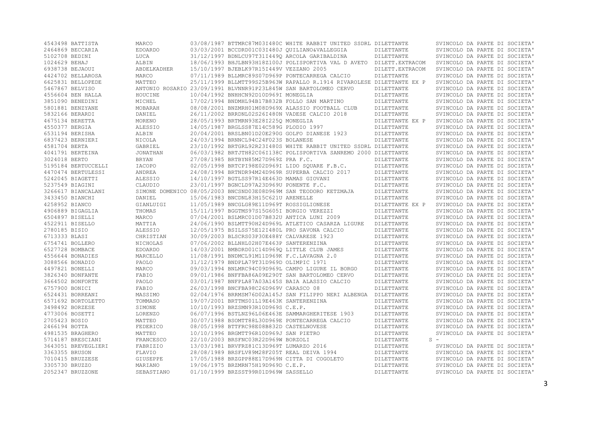| 4543498 BATTISTA    | MARCO          |                                             | 03/08/1987 BTTMRC87M03I480C WHITE RABBIT UNITED SSDRL DILETTANTE      |                  | SVINCOLO DA PARTE DI SOCIETA' |
|---------------------|----------------|---------------------------------------------|-----------------------------------------------------------------------|------------------|-------------------------------|
| 2464869 BECCARIA    | <b>EDOARDO</b> |                                             | 03/03/2001 BCCDRD01C03I480J OUILIANO&VALLEGGIA                        | DILETTANTE       | SVINCOLO DA PARTE DI SOCIETA' |
| 5102708 BEDINI      | LUCA           |                                             | 31/12/1997 BDNLCU97T31I4490 ARCOLA GARIBALDINA                        | DILETTANTE       | SVINCOLO DA PARTE DI SOCIETA' |
| 1024629 BEHAJ       | ALBIN          |                                             | 18/06/1993 BHJLBN93H18Z100J POLISPORTIVA VAL D AVETO DILETT. EXTRACOM |                  | SVINCOLO DA PARTE DI SOCIETA' |
| 6938738 BEJAOUI     | ABDELKADHER    | 15/10/1997 BJEBLK97R15I449V VEZZANO 2005    |                                                                       | DILETT. EXTRACOM | SVINCOLO DA PARTE DI SOCIETA' |
| 4424702 BELLAROSA   | MARCO          |                                             | 07/11/1989 BLLMRC89S07D969P PONTECARREGA CALCIO                       | DILETTANTE       | SVINCOLO DA PARTE DI SOCIETA' |
| 6625831 BELLOPEDE   | MATTEO         |                                             | 25/11/1999 BLLMTT99S25B963W RAPALLO R.1914 RIVAROLESE DILETTANTE EX P |                  | SVINCOLO DA PARTE DI SOCIETA' |
| 5467867 BELVISO     |                |                                             | ANTONIO ROSARIO 23/09/1991 BLVNNR91P23L845W SAN BARTOLOMEO CERVO      | DILETTANTE       | SVINCOLO DA PARTE DI SOCIETA' |
| 4556604 BEN HALLA   | HOUCINE        | 10/04/1992 BNHHCN92D10D969I MONEGLIA        |                                                                       | DILETTANTE       | SVINCOLO DA PARTE DI SOCIETA' |
| 3851090 BENEDINI    | MICHEL         |                                             | 17/02/1994 BNDMHL94B17B832B FOLLO SAN MARTINO                         | DILETTANTE       | SVINCOLO DA PARTE DI SOCIETA' |
| 5801881 BENZYANE    | MOBARAH        |                                             | 08/08/2001 BNZMRH01M08D969X ALASSIO FOOTBALL CLUB                     | DILETTANTE       | SVINCOLO DA PARTE DI SOCIETA' |
| 5832166 BERARDI     | DANIEL         |                                             | 26/11/2002 BRRDNL02S26I480N VADESE CALCIO 2018                        | DILETTANTE       | SVINCOLO DA PARTE DI SOCIETA' |
| 4675134 BERETTA     | MORENO         | 28/05/1993 BRTMRN93E28I225Q MONEGLIA        |                                                                       | DILETTANTE EX P  | SVINCOLO DA PARTE DI SOCIETA' |
| 4550377 BERGIA      | ALESSIO        | 14/05/1987 BRGLSS87E14C589G PLODIO 1997     |                                                                       | DILETTANTE       | SVINCOLO DA PARTE DI SOCIETA' |
| 6531194 BERISHA     | ALBIN          |                                             | 20/04/2001 BRSLBN01D20E290G GOLFO DIANESE 1923                        | DILETTANTE       | SVINCOLO DA PARTE DI SOCIETA' |
| 6837423 BERNIERI    | NICOLA         | 24/03/1994 BRNNCL94C24F023S BOLANESE        |                                                                       | DILETTANTE       | SVINCOLO DA PARTE DI SOCIETA' |
| 4581704 BERTA       | GABRIEL        |                                             | 23/10/1992 BRTGRL92R23I480S WHITE RABBIT UNITED SSDRL DILETTANTE      |                  | SVINCOLO DA PARTE DI SOCIETA' |
| 4041791 BERTEINA    | JONATHAN       |                                             | 06/03/1982 BRTJTH82C06I138C POLISPORTIVA SANREMO 2000 DILETTANTE      |                  | SVINCOLO DA PARTE DI SOCIETA' |
| 3024018 BERTO       | <b>BRYAN</b>   | 27/08/1985 BRTBYN85M27D969Z PRA F.C.        |                                                                       | DILETTANTE       | SVINCOLO DA PARTE DI SOCIETA' |
| 5195184 BERTUCCELLI | IACOPO         |                                             | 02/05/1998 BRTCPI98E02D969I LIDO SOUARE F.B.C.                        | DILETTANTE       | SVINCOLO DA PARTE DI SOCIETA' |
| 4470474 BERTULESSI  | ANDREA         |                                             | 24/08/1994 BRTNDR94M24D969R SUPERBA CALCIO 2017                       | DILETTANTE       | SVINCOLO DA PARTE DI SOCIETA' |
| 5242045 BIAGETTI    |                | 14/10/1997 BGTLSS97R14E463D MAMAS GIOVANI   |                                                                       | DILETTANTE       | SVINCOLO DA PARTE DI SOCIETA' |
|                     | ALESSIO        |                                             |                                                                       |                  |                               |
| 5237549 BIAGINI     | CLAUDIO        | 23/01/1997 BGNCLD97A23D969U PONENTE F.C.    |                                                                       | DILETTANTE       | SVINCOLO DA PARTE DI SOCIETA' |
| 3266617 BIANCALANI  |                |                                             | SIMONE DOMENICO 08/05/2003 BNCSND03E08D969M SAN TEODORO KETZMAJA      | DILETTANTE       | SVINCOLO DA PARTE DI SOCIETA' |
| 3433450 BIANCHI     | DANIEL         | 15/06/1983 BNCDNL83H15C621U ARENELLE        |                                                                       | DILETTANTE       | SVINCOLO DA PARTE DI SOCIETA' |
| 4258952 BIANCO      | GIANLUIGI      | 11/05/1989 BNCGLG89E11D969T ROSSIGLIONESE   |                                                                       | DILETTANTE EX P  | SVINCOLO DA PARTE DI SOCIETA' |
| 4906889 BIGAGLIA    | THOMAS         | 15/11/1997 BGGTMS97S15G605I BORGIO VEREZZI  |                                                                       | DILETTANTE       | SVINCOLO DA PARTE DI SOCIETA' |
| 6504897 BISELLI     | MARCO          |                                             | 07/04/2001 BSLMRC01D07B832U ANTICA LUNI 2009                          | DILETTANTE       | SVINCOLO DA PARTE DI SOCIETA' |
| 4522911 BISELLO     | MATTIA         |                                             | 24/06/1990 BSLMTT90H24D969L ATLETICO CASARZA LIGURE                   | DILETTANTE       | SVINCOLO DA PARTE DI SOCIETA' |
| 2780185 BISIO       | ALESSIO        |                                             | 12/05/1975 BSILSS75E12I480L PRO SAVONA CALCIO                         | DILETTANTE       | SVINCOLO DA PARTE DI SOCIETA' |
| 6713333 BLASI       | CHRISTIAN      | 30/09/2003 BLSCRS03P30E488Y CALVARESE 1923  |                                                                       | DILETTANTE       | SVINCOLO DA PARTE DI SOCIETA' |
| 6754741 BOLLERO     | NICHOLAS       | 07/06/2002 BLLNHL02H07E463P SANTERENZINA    |                                                                       | DILETTANTE       | SVINCOLO DA PARTE DI SOCIETA' |
| 6527728 BOMBACE     | <b>EDOARDO</b> |                                             | 14/03/2001 BMBDRD01C14D969O LITTLE CLUB JAMES                         | DILETTANTE       | SVINCOLO DA PARTE DI SOCIETA' |
| 4556644 BONADIES    | MARCELLO       | 11/08/1991 BNDMCL91M11D969K F.C.LAVAGNA 2.0 |                                                                       | DILETTANTE       | SVINCOLO DA PARTE DI SOCIETA' |
| 3088566 BONADIO     | PAOLO          | 31/12/1979 BNDPLA79T31D969D OLIMPIC 1971    |                                                                       | DILETTANTE       | SVINCOLO DA PARTE DI SOCIETA' |
| 4497821 BONELLI     | MARCO          |                                             | 09/03/1994 BNLMRC94C09D969L CAMPO LIGURE IL BORGO                     | DILETTANTE       | SVINCOLO DA PARTE DI SOCIETA' |
| 3826340 BONFANTE    | FABIO          |                                             | 09/01/1986 BNFFBA86A09E290T SAN BARTOLOMEO CERVO                      | DILETTANTE       | SVINCOLO DA PARTE DI SOCIETA' |
| 3664502 BONFORTE    | PAOLO          |                                             | 03/01/1987 BNFPLA87A03A145S BAIA ALASSIO CALCIO                       | DILETTANTE       | SVINCOLO DA PARTE DI SOCIETA' |
| 6757900 BONICI      | FABIO          | 26/03/1998 BNCFBA98C26D969V CARASCO 08      |                                                                       | DILETTANTE       | SVINCOLO DA PARTE DI SOCIETA' |
| 6524431 BORREANI    | MASSIMO        |                                             | 02/04/1976 BRRMSM76D02A145J SAN FILIPPO NERI ALBENGA DILETTANTE       |                  | SVINCOLO DA PARTE DI SOCIETA' |
| 6571692 BORTOLETTO  | TOMMASO        | 19/07/2001 BRTTMS01L19E463K SANTERENZINA    |                                                                       | DILETTANTE       | SVINCOLO DA PARTE DI SOCIETA' |
| 3498492 BORZESE     | SIMONE         | 10/10/1993 BRZSMN93R10D969S C.E.P.          |                                                                       | DILETTANTE       | SVINCOLO DA PARTE DI SOCIETA' |
| 4773006 BOSETTI     | LORENZO        |                                             | 06/07/1996 BSTLNZ96L06E463E SAMMARGHERITESE 1903                      | DILETTANTE       | SVINCOLO DA PARTE DI SOCIETA' |
| 2705423 BOSIO       | MATTEO         |                                             | 30/07/1988 BSOMTT88L30D969E PONTECARREGA CALCIO                       | DILETTANTE       | SVINCOLO DA PARTE DI SOCIETA' |
| 2466194 BOTTA       | FEDERICO       | 08/05/1998 BTTFRC98E08B832D CASTELNOVESE    |                                                                       | DILETTANTE       | SVINCOLO DA PARTE DI SOCIETA' |
| 4981535 BRAGHERO    | MATTEO         | 10/10/1996 BRGMTT96R10D969J SAN PIETRO      |                                                                       | DILETTANTE       | SVINCOLO DA PARTE DI SOCIETA' |
| 5714187 BRESCIANI   | FRANCESCO      | 22/10/2003 BRSFNC03R22D969W BORZOLI         |                                                                       | DILETTANTE       | $S =$                         |
| 3643051 BREVEGLIERI | FABRIZIO       | 13/03/1981 BRVFRZ81C13D969T LUMARZO 2016    |                                                                       | DILETTANTE       | SVINCOLO DA PARTE DI SOCIETA' |
| 3363355 BRUSON      | FLAVIO         | 28/08/1989 BRSFLV89M28F205T REAL DEIVA 1994 |                                                                       | DILETTANTE       | SVINCOLO DA PARTE DI SOCIETA' |
| 7010415 BRUZZESE    | GIUSEPPE       |                                             | 17/05/1988 BRZGPP88E17D969N CITTA DI COGOLETO                         | DILETTANTE       | SVINCOLO DA PARTE DI SOCIETA' |
| 3305730 BRUZZO      | MARIANO        | 19/06/1975 BRZMRN75H19D969D C.E.P.          |                                                                       | DILETTANTE       | SVINCOLO DA PARTE DI SOCIETA' |
| 2052347 BRUZZONE    | SEBASTIANO     | 01/10/1999 BRZSST99R01D969W SASSELLO        |                                                                       | DILETTANTE       | SVINCOLO DA PARTE DI SOCIETA' |
|                     |                |                                             |                                                                       |                  |                               |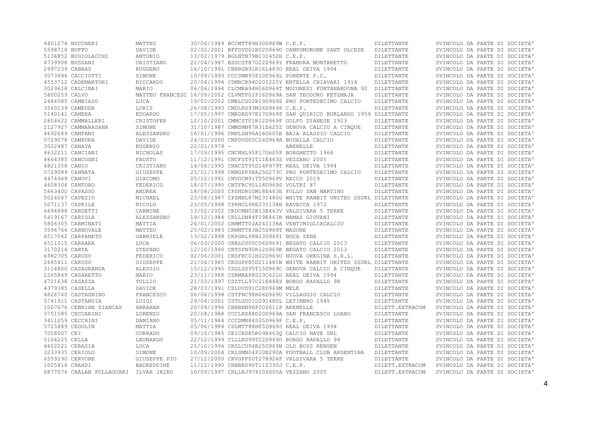|                | 4401074 BUCCHERI                      | MATTEO          |                | 30/06/1989 BCCMTT89H30D969W C.E.P.           |                                                                  | DILETTANTE       | SVINCOLO DA PARTE DI SOCIETA' |
|----------------|---------------------------------------|-----------------|----------------|----------------------------------------------|------------------------------------------------------------------|------------------|-------------------------------|
| 5598718 BUFFO  |                                       | DAVIDE          |                |                                              | 02/02/2001 BFFDVD01B02D9690 CAMPOMORONE SANT OLCESE              | DILETTANTE       | SVINCOLO DA PARTE DI SOCIETA' |
|                | 5136852 BUGIOLACCHI                   | ANTONIO         |                | 13/02/1979 BGLNTN79B13I452H C.E.P.           |                                                                  | DILETTANTE       | SVINCOLO DA PARTE DI SOCIETA' |
|                | 4739908 BUSSANI                       | CRISTIANO       |                |                                              | 22/04/1987 BSSCST87D22D969Y FRAMURA MONTARETTO                   | DILETTANTE       | SVINCOLO DA PARTE DI SOCIETA' |
| 2997239 CABRAS |                                       | <b>RUGGERO</b>  |                | 16/10/1991 CBRRGR91R16L4830 REAL DEIVA 1994  |                                                                  | DILETTANTE       | SVINCOLO DA PARTE DI SOCIETA' |
|                | 3073996 CACCIOTTI                     | SIMONE          |                | 10/09/1993 CCCSMN93P10D969L PONENTE F.C.     |                                                                  | DILETTANTE       | SVINCOLO DA PARTE DI SOCIETA' |
|                | 4553712 CADEMARTORI                   | RICCARDO        |                |                                              | 20/04/1994 CDMRCR94D20I225Y ENTELLA CHIAVARI 1914                | DILETTANTE       | SVINCOLO DA PARTE DI SOCIETA' |
|                | 3029618 CALCINAI                      | MARIO           |                |                                              | 06/06/1994 CLCMRA94H06D969T MOCONESI FONTANABUONA 92 DILETTANTE  |                  | SVINCOLO DA PARTE DI SOCIETA' |
| 5800259 CALVO  |                                       |                 |                |                                              | MATTEO FRANCESC 16/09/2002 CLVMTF02P16D969A SAN TEODORO KETZMAJA | DILETTANTE       | SVINCOLO DA PARTE DI SOCIETA' |
|                | 2484585 CAMBIASO                      | LUCA            |                |                                              | 19/02/2002 CMBLCU02B19D969Z PRO PONTEDECIMO CALCIO               | DILETTANTE       | SVINCOLO DA PARTE DI SOCIETA' |
|                | 3560139 CAMEDDA                       | LORIS           |                | 26/08/1993 CMDLRS93M26D969P C.E.P.           |                                                                  | DILETTANTE       | SVINCOLO DA PARTE DI SOCIETA' |
|                |                                       |                 |                |                                              |                                                                  |                  |                               |
| 5140141 CAMERA |                                       | <b>EDOARDO</b>  |                |                                              | 17/05/1997 CMRDRD97E17D969P SAN OUIRICO BURLANDO 1959 DILETTANTE |                  | SVINCOLO DA PARTE DI SOCIETA' |
|                | 2804622 CAMMALLERI                    | CRISTOFER       |                |                                              | 12/10/2001 CMMCST01R12D969F GOLFO DIANESE 1923                   | DILETTANTE       | SVINCOLO DA PARTE DI SOCIETA' |
|                | 2127927 CAMMARASANA                   | SIMONE          |                |                                              | 31/10/1987 CMMSMN87R31E625Z GENOVA CALCIO A CINOUE               | DILETTANTE       | SVINCOLO DA PARTE DI SOCIETA' |
|                | 4692689 CAMPANI                       | ALESSANDRO      |                |                                              | 16/01/1996 CMPLSN96A16G605E BAIA ALASSIO CALCIO                  | DILETTANTE       | SVINCOLO DA PARTE DI SOCIETA' |
|                | 5729078 CAMPORA                       | DAVIDE          |                | 24/03/2000 CMPDVD00C24D969A BUSALLA CALCIO   |                                                                  | DILETTANTE       | SVINCOLO DA PARTE DI SOCIETA' |
| 3002487 CANATA |                                       | EUGENIO         | $22/01/1978 -$ |                                              | ARENELLE                                                         | DILETTANTE       | SVINCOLO DA PARTE DI SOCIETA' |
|                | 4632211 CANCIANI                      | NICHOLAS        |                | 17/09/1995 CNCNHL95P17G605P BORGHETTO 1968   |                                                                  | DILETTANTE       | SVINCOLO DA PARTE DI SOCIETA' |
|                | 4664385 CANCOGNI                      | FAUSTO          |                | 11/12/1991 CNCFST91T11E463S VEZZANO 2005     |                                                                  | DILETTANTE       | SVINCOLO DA PARTE DI SOCIETA' |
| 4821358 CANIO  |                                       | CRISTIANO       |                | 14/04/1995 CNACST95D14F979T REAL DEIVA 1994  |                                                                  | DILETTANTE       | SVINCOLO DA PARTE DI SOCIETA' |
|                | 5729089 CANNATA                       | GIUSEPPE        |                |                                              | 25/01/1998 CNNGPP98A25G273C PRO PONTEDECIMO CALCIO               | DILETTANTE       | SVINCOLO DA PARTE DI SOCIETA' |
| 4474969 CANOVI |                                       | GIACOMO         |                | 05/12/1991 CNVGCM91T05D969V RECCO 2019       |                                                                  | DILETTANTE       | SVINCOLO DA PARTE DI SOCIETA' |
|                | 4608306 CANTORO                       | FEDERICO        |                | 18/07/1995 CNTFRC95L18D969S VOLTRI 87        |                                                                  | DILETTANTE       | SVINCOLO DA PARTE DI SOCIETA' |
|                | 5663400 CAPASSO                       | ANDREA          |                |                                              | 18/08/2000 CPSNDR00M18E463E FOLLO SAN MARTINO                    | DILETTANTE       | SVINCOLO DA PARTE DI SOCIETA' |
|                | 5024067 CAPEZIO                       | MICHAEL         |                |                                              | 23/08/1987 CPZMHL87M23I480G WHITE RABBIT UNITED SSDRL DILETTANTE |                  | SVINCOLO DA PARTE DI SOCIETA' |
|                | 5071137 CAPRILE                       | NICOLO          |                | 23/05/1998 CPRNCL98E23I138E RAVECCA 1972     |                                                                  | DILETTANTE       | SVINCOLO DA PARTE DI SOCIETA' |
|                | 6694888 CARDETTI                      | CARMINE         |                |                                              | 13/02/2002 CRDCMN02B13E463V VALDIVARA 5 TERRE                    | DILETTANTE       | SVINCOLO DA PARTE DI SOCIETA' |
|                | 5419167 CARIOLA                       | ALESSANDRO      |                | 19/12/1984 CRLLSN84T19E463R MAMAS GIOVANI    |                                                                  | DILETTANTE       | SVINCOLO DA PARTE DI SOCIETA' |
|                | 5806305 CARMINATI                     | MATTIA          |                |                                              | 24/01/2002 CRMMTT02A24I138A VENTIMIGLIACALCIO                    | DILETTANTE       | SVINCOLO DA PARTE DI SOCIETA' |
|                | 3596766 CARNOVALE                     | MATTEO          |                | 25/02/1983 CRNMTT83B25D969T MASONE           |                                                                  | DILETTANTE       | SVINCOLO DA PARTE DI SOCIETA' |
|                | 6517042 CARPANETO                     | <b>GABRIELE</b> |                |                                              |                                                                  |                  |                               |
|                |                                       |                 |                | 13/02/1998 CRPGRL98B13D969I BOCA ZENA        |                                                                  | DILETTANTE       | SVINCOLO DA PARTE DI SOCIETA' |
|                | 6511015 CARRARA                       | LUCA            |                |                                              | 06/03/2000 CRRLCU00C06D969I BEGATO CALCIO 2013                   | DILETTANTE       | SVINCOLO DA PARTE DI SOCIETA' |
| 3170214 CARTA  |                                       | STEFANO         |                |                                              | 12/10/1990 CRTSFN90R12D969K BEGATO CALCIO 2013                   | DILETTANTE       | SVINCOLO DA PARTE DI SOCIETA' |
| 6982705 CARUSO |                                       | FEDERICO        |                |                                              | 02/06/2001 CRSFRC01H02D969U NUOVA OREGINA S.R.L.                 | DILETTANTE       | SVINCOLO DA PARTE DI SOCIETA' |
| 2665411 CARUSO |                                       | <b>GIUSEPPE</b> |                |                                              | 21/04/1985 CRSGPP85D21I480N WHITE RABBIT UNITED SSDRL DILETTANTE |                  | SVINCOLO DA PARTE DI SOCIETA' |
|                | 3114800 CASAGRANDA                    | ALESSIO         |                |                                              | 15/12/1995 CSGLSS95T15D969C GENOVA CALCIO A CINOUE               | DILETTANTE       | SVINCOLO DA PARTE DI SOCIETA' |
|                | 2265849 CASARETTO                     | MARIO           |                | 23/11/1988 CSRMRA88S23C6210 REAL DEIVA 1994  |                                                                  | DILETTANTE       | SVINCOLO DA PARTE DI SOCIETA' |
|                | 4721638 CASAZZA                       | TULLIO          |                | 21/03/1997 CSZTLL97C21E488Z BORGO RAPALLO 98 |                                                                  | DILETTANTE       | SVINCOLO DA PARTE DI SOCIETA' |
|                | 4379385 CASELLA                       | DAVIDE          |                | 28/03/1991 CSLDVD91C28D969M MELE             |                                                                  | DILETTANTE       | SVINCOLO DA PARTE DI SOCIETA' |
|                | 4826740 CASTAGNINO                    | FRANCESCO       |                | 06/06/1998 CSTFNC98H06D969U VILLAGGIO CALCIO |                                                                  | DILETTANTE       | SVINCOLO DA PARTE DI SOCIETA' |
|                | 5741911 CASTANGIA                     | LUIGI           |                | 29/04/2001 CSTLGU01D29I480L LETIMBRO 1945    |                                                                  | DILETTANTE       | SVINCOLO DA PARTE DI SOCIETA' |
|                | 1007676 CEBRIAN SIANCAS               | ABRAHAN         |                | 20/09/1996 CBRBHN96P20Z611P ARENELLE         |                                                                  | DILETT. EXTRACOM | SVINCOLO DA PARTE DI SOCIETA' |
|                | 3751585 CECCARINI                     | LORENZO         |                |                                              | 20/04/1988 CCCLNZ88D20D969A SAN FRANCESCO LOANO                  | DILETTANTE       | SVINCOLO DA PARTE DI SOCIETA' |
|                | 3411259 CECCHINI                      | DAMIANO         |                | 05/11/1984 CCCDMN84S05D969P C.E.P.           |                                                                  | DILETTANTE       | SVINCOLO DA PARTE DI SOCIETA' |
|                | 5715889 CEDOLIN                       | MATTIA          |                | 05/06/1988 CDLMTT88H05D969J REAL DEIVA 1994  |                                                                  | DILETTANTE       | SVINCOLO DA PARTE DI SOCIETA' |
| 7058007 CEI    |                                       | CORRADO         |                | 09/10/1985 CEICRD85R09E4630 CALCIO NAVE SRL  |                                                                  | DILETTANTE       | SVINCOLO DA PARTE DI SOCIETA' |
| 5106225 CELLA  |                                       | LEONARDO        |                | 22/12/1999 CLLLRD99T22D9690 BORGO RAPALLO 98 |                                                                  | DILETTANTE       | SVINCOLO DA PARTE DI SOCIETA' |
|                | 4602021 CERASIA                       | LUCA            |                | 25/10/1994 CRSLCU94R25D969N OLD BOYS RENSEN  |                                                                  | DILETTANTE       | SVINCOLO DA PARTE DI SOCIETA' |
|                | 3233935 CERIOLO                       | SIMONE          |                |                                              | 10/09/2004 CRLSMN04P10E290A FOOTBALL CLUB ARGENTINA              | DILETTANTE       | SVINCOLO DA PARTE DI SOCIETA' |
|                |                                       |                 |                |                                              |                                                                  |                  |                               |
|                | 6559290 CERVONE                       | GIUSEPPE PIO    |                |                                              | 27/12/2000 CRVGPP00T27H926F VALDIVARA 5 TERRE                    | DILETTANTE       | SVINCOLO DA PARTE DI SOCIETA' |
| 1005816 CHAHDI |                                       | BADREDDINE      |                | 11/12/1990 CHHBRD90T11Z330J C.E.P.           |                                                                  | DILETT.EXTRACOM  | SVINCOLO DA PARTE DI SOCIETA' |
|                | 6877076 CHALAN PULLAGUARI ILVAR JAIRO |                 |                | 10/09/1997 CHLLRJ97P10Z605A VEZZANO 2005     |                                                                  | DILETT. EXTRACOM | SVINCOLO DA PARTE DI SOCIETA' |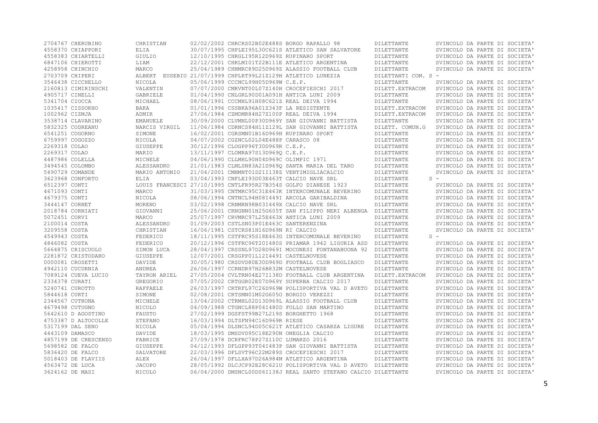| 2704767 CHERUBINO                       | CHRISTIAN              | 02/02/2002 CHRCRS02B02E488S BORGO RAPALLO 98 |                                                                  | DILETTANTE                     | SVINCOLO DA PARTE DI SOCIETA'                                  |
|-----------------------------------------|------------------------|----------------------------------------------|------------------------------------------------------------------|--------------------------------|----------------------------------------------------------------|
| 4558370 CHIAPPORI                       | ELIA                   |                                              | 30/07/1995 CHPLEI95L30C621S ATLETICO SAN SALVATORE               | DILETTANTE                     | SVINCOLO DA PARTE DI SOCIETA'                                  |
| 4558383 CHIARTELLI                      | GIULIO                 | 12/10/1995 CHRGLI95R12D969Z RUPINARO SPORT   |                                                                  | DILETTANTE                     | SVINCOLO DA PARTE DI SOCIETA'                                  |
| 6847106 CHIEROTTI                       | LIAM                   |                                              | 22/12/2001 CHRLMI01T22B111E ATLETICO ARGENTINA                   | DILETTANTE                     | SVINCOLO DA PARTE DI SOCIETA'                                  |
| 4258958 CHINCHIO                        | MARCO                  |                                              | 25/04/1989 CHNMRC89D25D969Z ALASSIO FOOTBALL CLUB                | DILETTANTE                     | SVINCOLO DA PARTE DI SOCIETA'                                  |
| 2703709 CHIPERI                         |                        |                                              | ALBERT EUSEBIU 21/07/1999 CHPLRT99L21Z129H ATLETICO LUNEZIA      | DILETTANTI COM. S -            |                                                                |
| 3546438 CICCHELLO                       | NICOLA                 | 05/06/1999 CCCNCL99H05D969W C.E.P.           |                                                                  | DILETTANTE                     | SVINCOLO DA PARTE DI SOCIETA'                                  |
| 2160813 CIMIRINSCHI                     | VALENTIN               |                                              | 07/07/2000 CMRVNT00L07Z140H CROCEFIESCHI 2017                    | DILETT. EXTRACOM               | SVINCOLO DA PARTE DI SOCIETA'                                  |
| 4905717 CINELLI                         | GABRIELE               |                                              | 01/04/1990 CNLGRL90D01A091H ANTICA LUNI 2009                     | DILETTANTE                     | SVINCOLO DA PARTE DI SOCIETA'                                  |
| 5341704 CIOCCA                          | MICHAEL                | 08/06/1991 CCCMHL91H08C621Z REAL DEIVA 1994  |                                                                  | DILETTANTE                     | SVINCOLO DA PARTE DI SOCIETA'                                  |
| 1035417 CISSOKHO                        | BAKA                   | 01/01/1996 CSSBKA96A01Z343F LA RESISTENTE    |                                                                  | DILETT. EXTRACOM               | SVINCOLO DA PARTE DI SOCIETA'                                  |
| 1002962 CIZMJA                          | ADMIR                  | 27/06/1984 CZMDMR84H27Z100P REAL DEIVA 1994  |                                                                  | DILETT. EXTRACOM               | SVINCOLO DA PARTE DI SOCIETA'                                  |
| 3538714 CLAVARINO                       | <b>EMANUELE</b>        |                                              | 30/09/2000 CLVMNL00P30D969Y SAN GIOVANNI BATTISTA                | DILETTANTE                     | SVINCOLO DA PARTE DI SOCIETA'                                  |
| 5832325 CODREANU                        | NARCIS VIRGIL          |                                              | 11/06/1984 CDRNCS84H11Z129L SAN GIOVANNI BATTISTA                | DILETT. COMUN.G                | SVINCOLO DA PARTE DI SOCIETA'                                  |
| 6541251 COGORNO                         | SIMONE                 | 16/02/2001 CGRSMN01B16D969H RUPINARO SPORT   |                                                                  | DILETTANTE                     | SVINCOLO DA PARTE DI SOCIETA'                                  |
| 6759997 COGOZZO                         | NICOLA                 | 04/07/2002 CGZNCL02L04E488P CARASCO 08       |                                                                  | DILETTANTE                     | SVINCOLO DA PARTE DI SOCIETA'                                  |
| 2269318 COLAO                           | GIUSEPPE               | 30/12/1996 CLOGPP96T30D969R C.E.P.           |                                                                  | DILETTANTE                     | SVINCOLO DA PARTE DI SOCIETA'                                  |
| 2269317 COLAO                           | MARIO                  | 13/11/1997 CLOMRA97S13D9690 C.E.P.           |                                                                  | DILETTANTE                     | SVINCOLO DA PARTE DI SOCIETA'                                  |
| 4487986 COLELLA                         | MICHELE                | 04/06/1990 CLLMHL90H04D969C OLIMPIC 1971     |                                                                  | DILETTANTE                     | SVINCOLO DA PARTE DI SOCIETA'                                  |
| 3494545 COLOMBO                         | ALESSANDRO             |                                              | 21/01/1983 CLMLSN83A21D9690 SANTA MARIA DEL TARO                 | DILETTANTE                     | SVINCOLO DA PARTE DI SOCIETA'                                  |
| 5490729 COMANDE                         | MARIO ANTONIO          |                                              | 21/04/2001 CMNMNT01D21I138Z VENTIMIGLIACALCIO                    | DILETTANTE                     | SVINCOLO DA PARTE DI SOCIETA'                                  |
| 3623968 CONFORTO                        | ELIA                   | 03/04/1993 CNFLEI93D03E463T CALCIO NAVE SRL  |                                                                  | DILETTANTE                     | $S -$                                                          |
| 6512397 CONTI                           |                        |                                              | LOUIS FRANCESCI 27/10/1995 CNTLFR95R27B354S GOLFO DIANESE 1923   | DILETTANTE                     | SVINCOLO DA PARTE DI SOCIETA'                                  |
| 4671093 CONTI                           | MARCO                  |                                              | 31/03/1995 CNTMRC95C31E463K INTERCOMUNALE BEVERINO               | DILETTANTE                     | SVINCOLO DA PARTE DI SOCIETA'                                  |
| 4679375 CONTI                           | NICOLA                 |                                              | 08/06/1994 CNTNCL94H08I449I ARCOLA GARIBALDINA                   | DILETTANTE                     | SVINCOLO DA PARTE DI SOCIETA'                                  |
| 3444147 CORNET                          | MORENO                 | 03/02/1998 CRNMRN98B03I449X CALCIO NAVE SRL  |                                                                  | DILETTANTE                     | SVINCOLO DA PARTE DI SOCIETA'                                  |
| 2018784 CORNIATI                        | GIOVANNI               |                                              | 25/06/2001 CRNGNN01H25G605T SAN FILIPPO NERI ALBENGA DILETTANTE  |                                | SVINCOLO DA PARTE DI SOCIETA'                                  |
| 5072451 CORVI                           | MARCO                  | 25/07/1997 CRVMRC97L25E463X ANTICA LUNI 2009 |                                                                  | DILETTANTE                     | SVINCOLO DA PARTE DI SOCIETA'                                  |
| 2100014 COSTA                           | ALESSANDRO             | 01/09/2003 CSTLSN03P01E463C SANTERENZINA     |                                                                  | DILETTANTE                     | SVINCOLO DA PARTE DI SOCIETA'                                  |
| 3209558 COSTA                           | CHRISTIAN              | 16/06/1981 CSTCRS81H16D969N RI CALCIO        |                                                                  | DILETTANTE                     | SVINCOLO DA PARTE DI SOCIETA'                                  |
| 4549943 COSTA                           | FEDERICO               |                                              | 18/11/1995 CSTFRC95S18E463G INTERCOMUNALE BEVERINO               | <b>DILETTANTE</b>              | $S =$                                                          |
| 4846082 COSTA                           | FEDERICO               |                                              | 20/12/1996 CSTFRC96T20I480S PRIAMAR 1942 LIGURIA ASD             | DILETTANTE                     | SVINCOLO DA PARTE DI SOCIETA'                                  |
| 5664875 CRISCUOLO                       | SIMON LUCA             |                                              | 28/04/1997 CRSSNL97D28D969I MOCONESI FONTANABUONA 92             | DILETTANTE                     | SVINCOLO DA PARTE DI SOCIETA'                                  |
| 2281872 CRISTODARO                      | GIUSEPPE               | 12/07/2001 CRSGPP01L12I449I CASTELNOVESE     |                                                                  | DILETTANTE                     | SVINCOLO DA PARTE DI SOCIETA'                                  |
| 0000081 CROSETTI                        | DAVIDE                 |                                              | 30/05/1980 CRSDVD80E30D969D FOOTBALL CLUB BOGLIASCO              | DILETTANTE                     | SVINCOLO DA PARTE DI SOCIETA'                                  |
|                                         |                        |                                              |                                                                  |                                |                                                                |
| 4942110 CUCURNIA<br>7089124 CUEVA LUCIO | ANDREA<br>TAYRON ARIEL | 26/06/1997 CCRNDR97H26B832M CASTELNOVESE     | 27/05/2004 CVLTRN04E27I138D FOOTBALL CLUB ARGENTINA              | DILETTANTE<br>DILETT. EXTRACOM | SVINCOLO DA PARTE DI SOCIETA'<br>SVINCOLO DA PARTE DI SOCIETA' |
|                                         |                        |                                              |                                                                  |                                |                                                                |
| 2334378 CURATI                          | GREGORIO               |                                              | 07/05/2002 CRTGGR02E07D969Y SUPERBA CALCIO 2017                  | DILETTANTE                     | SVINCOLO DA PARTE DI SOCIETA'                                  |
| 5240741 CUROTTO                         | RAFFAELE               |                                              | 26/03/1997 CRTRFL97C26D969W POLISPORTIVA VAL D AVETO DILETTANTE  |                                | SVINCOLO DA PARTE DI SOCIETA'                                  |
| 5844618 CURTI                           | SIMONE                 | 02/08/2001 CRTSMN01M02G6050 BORGIO VEREZZI   |                                                                  | DILETTANTE                     | SVINCOLO DA PARTE DI SOCIETA'                                  |
| 2344567 CUTRONA                         | MICHELE                |                                              | 13/04/2002 CTRMHL02D13D969L ALASSIO FOOTBALL CLUB                | DILETTANTE                     | SVINCOLO DA PARTE DI SOCIETA'                                  |
| 4679498 CUTUGNO                         | NICOLO                 |                                              | 04/09/1988 CTGNCL88P04I480D FOLLO SAN MARTINO                    | DILETTANTE                     | SVINCOLO DA PARTE DI SOCIETA'                                  |
| 5642610 D AGOSTINO                      | FAUSTO                 | 27/02/1999 DGSFST99B27L219S BORGHETTO 1968   |                                                                  | DILETTANTE                     | SVINCOLO DA PARTE DI SOCIETA'                                  |
| 4753387 D ALTOCOLLE                     | STEFANO                | 16/03/1994 DLTSFN94C16D969R RIESE            |                                                                  | DILETTANTE                     | SVINCOLO DA PARTE DI SOCIETA'                                  |
| 5317199 DAL SENO                        | NICOLA                 |                                              | 05/04/1994 DLSNCL94D05C621T ATLETICO CASARZA LIGURE              | DILETTANTE                     | SVINCOLO DA PARTE DI SOCIETA'                                  |
| 4443109 DAMASCO                         | DAVIDE                 | 18/03/1995 DMSDVD95C18E290N ONEGLIA CALCIO   |                                                                  | DILETTANTE                     | SVINCOLO DA PARTE DI SOCIETA'                                  |
| 4857199 DE CRESCENZO                    | FABRICE                | 27/09/1978 DCRFRC78P27Z110C LUMARZO 2016     |                                                                  | DILETTANTE                     | SVINCOLO DA PARTE DI SOCIETA'                                  |
| 5698582 DE FALCO                        | GIUSEPPE               |                                              | 04/12/1993 DFLGPP93T04I483P SAN GIOVANNI BATTISTA                | DILETTANTE                     | SVINCOLO DA PARTE DI SOCIETA'                                  |
| 5836420 DE FALCO                        | SALVATORE              |                                              | 22/03/1996 DFLSVT96C22M289S CROCEFIESCHI 2017                    | DILETTANTE                     | SVINCOLO DA PARTE DI SOCIETA'                                  |
| 5018403 DE FLAVIIS                      | ALEX                   |                                              | 26/04/1997 DFLLXA97D26A984M ATLETICO ARGENTINA                   | DILETTANTE                     | SVINCOLO DA PARTE DI SOCIETA'                                  |
| 4563472 DE LUCA                         | <b>JACOPO</b>          |                                              | 28/05/1992 DLCJCP92E28C621U POLISPORTIVA VAL D AVETO DILETTANTE  |                                | SVINCOLO DA PARTE DI SOCIETA'                                  |
| 3624162 DE MASI                         | <b>NICOLO</b>          |                                              | 06/04/2000 DMSNCL00D06I138J REAL SANTO STEFANO CALCIO DILETTANTE |                                | SVINCOLO DA PARTE DI SOCIETA'                                  |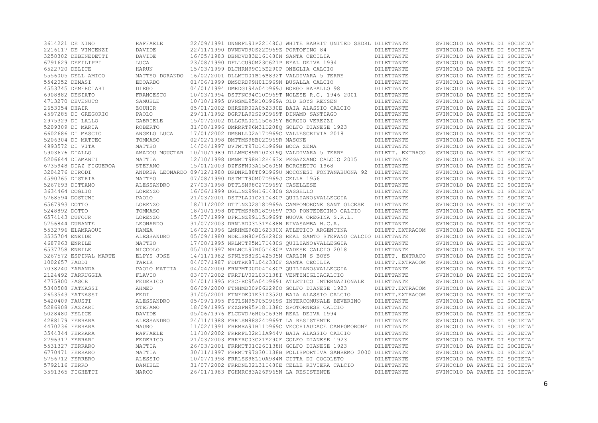|                | 3614221 DE NINO       | RAFFAELE        |                                              | 22/09/1991 DNNRFL91P22I480J WHITE RABBIT UNITED SSDRL DILETTANTE                |                   | SVINCOLO DA PARTE DI SOCIETA' |
|----------------|-----------------------|-----------------|----------------------------------------------|---------------------------------------------------------------------------------|-------------------|-------------------------------|
|                | 2216117 DE VINCENZI   | DAVIDE          | 22/11/1990 DVNDVD90S22D969Z PORTOFINO 84     |                                                                                 | <b>DILETTANTE</b> | SVINCOLO DA PARTE DI SOCIETA' |
|                | 3258302 DEBENEDETTI   | DAVIDE          | 16/05/1983 DBNDVD83E16I480N SANTA CECILIA    |                                                                                 | DILETTANTE        | SVINCOLO DA PARTE DI SOCIETA' |
|                | 6791629 DEFILIPPI     | LUCA            | 23/08/1990 DFLLCU90M23C621P REAL DEIVA 1994  |                                                                                 | DILETTANTE        | SVINCOLO DA PARTE DI SOCIETA' |
| 6522720 DELICE |                       | HARUN           | 15/03/1999 DLCHRN99C15E290P ONEGLIA CALCIO   |                                                                                 | DILETTANTE        | SVINCOLO DA PARTE DI SOCIETA' |
|                | 5556005 DELL AMICO    | MATTEO DORANDO  |                                              | 16/02/2001 DLLMTD01B16B832T VALDIVARA 5 TERRE                                   | DILETTANTE        | SVINCOLO DA PARTE DI SOCIETA' |
| 5542052 DEMASI |                       | <b>EDOARDO</b>  | 01/06/1999 DMSDRD99H01D969N BUSALLA CALCIO   |                                                                                 | DILETTANTE        | SVINCOLO DA PARTE DI SOCIETA' |
|                | 4553745 DEMERCIARI    | DIEGO           | 04/01/1994 DMRDGI94A04D969J BORGO RAPALLO 98 |                                                                                 | DILETTANTE        | SVINCOLO DA PARTE DI SOCIETA' |
|                | 6908882 DESIATO       | FRANCESCO       |                                              | 10/03/1994 DSTFNC94C10D969T NOLESE R.G. 1946 2001                               | DILETTANTE        | SVINCOLO DA PARTE DI SOCIETA' |
|                | 4713270 DEVENUTO      | SAMUELE         | 10/10/1995 DVNSML95R10D969A OLD BOYS RENSEN  |                                                                                 | DILETTANTE        | SVINCOLO DA PARTE DI SOCIETA' |
| 2653054 DHAIR  |                       |                 |                                              |                                                                                 |                   |                               |
|                |                       | ZOUHIR          |                                              | 05/01/2002 DHRZHR02A05Z330E BAIA ALASSIO CALCIO                                 | DILETTANTE        | SVINCOLO DA PARTE DI SOCIETA' |
|                | 4597285 DI GREGORIO   | PAOLO           | 29/11/1992 DGRPLA92S29D969T DINAMO SANTIAGO  |                                                                                 | DILETTANTE        | SVINCOLO DA PARTE DI SOCIETA' |
|                | 2975329 DI LALLO      | GABRIELE        | 15/07/2002 DLLGRL02L15G605Y BORGIO VEREZZI   |                                                                                 | DILETTANTE        | SVINCOLO DA PARTE DI SOCIETA' |
|                | 5209309 DI MARIA      | ROBERTO         |                                              | 31/08/1996 DMRRRT96M31D208Q GOLFO DIANESE 1923                                  | DILETTANTE        | SVINCOLO DA PARTE DI SOCIETA' |
|                | 6602686 DI MASCIO     | ANGELO LUCA     |                                              | 17/01/2002 DMSNLL02A17D969C VALLESCRIVIA 2018                                   | DILETTANTE        | SVINCOLO DA PARTE DI SOCIETA' |
|                | 5206304 DI MATTEO     | TOMMASO         | 02/02/1998 DMTTMS98B02D969R MASONE           |                                                                                 | DILETTANTE        | SVINCOLO DA PARTE DI SOCIETA' |
|                | 4993572 DI VITA       | MATTEO          | 14/04/1997 DVTMTT97D14D969B BOCA ZENA        |                                                                                 | DILETTANTE        | SVINCOLO DA PARTE DI SOCIETA' |
| 5903676 DIALLO |                       |                 |                                              | AMADOU MOUCTAR 10/10/1989 DLLMMC89R10Z3190 VALDIVARA 5 TERRE                    | DILETT. EXTRACO   | SVINCOLO DA PARTE DI SOCIETA' |
|                | 5206644 DIAMANTI      | MATTIA          |                                              | 12/10/1998 DMNMTT98R12E463X PEGAZZANO CALCIO 2015                               | DILETTANTE        | SVINCOLO DA PARTE DI SOCIETA' |
|                | 6735948 DIAZ FIGUEROA | STEFANO         | 15/01/2003 DZFSFN03A15G605M BORGHETTO 1968   |                                                                                 | DILETTANTE        | SVINCOLO DA PARTE DI SOCIETA' |
| 3204276 DIRODI |                       |                 |                                              | ANDREA LEONARDO 09/12/1988 DRDNRL88T09D969U MOCONESI FONTANABUONA 92 DILETTANTE |                   | SVINCOLO DA PARTE DI SOCIETA' |
|                | 4590765 DISTRIA       | MATTEO          | 07/08/1990 DSTMTT90M07D969J CELLA 1956       |                                                                                 | DILETTANTE        | SVINCOLO DA PARTE DI SOCIETA' |
|                | 5267693 DITTAMO       | ALESSANDRO      | 27/03/1998 DTTLSN98C27D969Y CASELLESE        |                                                                                 | DILETTANTE        | SVINCOLO DA PARTE DI SOCIETA' |
| 3634464 DOGLIO |                       | LORENZO         | 16/06/1999 DGLLNZ99H16I480G SASSELLO         |                                                                                 | DILETTANTE        | SVINCOLO DA PARTE DI SOCIETA' |
|                | 5768594 DOSTUNI       | PAOLO           |                                              | 21/03/2001 DSTPLA01C21I480P OUILIANO&VALLEGGIA                                  | DILETTANTE        | SVINCOLO DA PARTE DI SOCIETA' |
| 6567993 DOTTO  |                       | LORENZO         |                                              | 18/11/2002 DTTLNZ02S18D969A CAMPOMORONE SANT OLCESE                             | DILETTANTE        | SVINCOLO DA PARTE DI SOCIETA' |
| 5248892 DOTTO  |                       | TOMMASO         |                                              | 18/10/1998 DTTTMS98R18D969V PRO PONTEDECIMO CALCIO                              | DILETTANTE        | SVINCOLO DA PARTE DI SOCIETA' |
| 6574143 DUFOUR |                       | LORENZO         |                                              | 15/07/1999 DFRLNZ99L15D969T NUOVA OREGINA S.R.L.                                | DILETTANTE        | SVINCOLO DA PARTE DI SOCIETA' |
|                | 5756844 DURANTE       | LEONARDO        | 31/07/2003 DRNLRD03L31E488N RIVASAMBA H.C.A. |                                                                                 | DILETTANTE        | SVINCOLO DA PARTE DI SOCIETA' |
|                | 5532796 ELAMRAOUI     | HAMZA           |                                              | 16/02/1996 LMRHMZ96B16Z330X ATLETICO ARGENTINA                                  | DILETT. EXTRACOM  | SVINCOLO DA PARTE DI SOCIETA' |
| 3535704 ENEIDE |                       | ALESSANDRO      |                                              | 05/09/1980 NDELSN80P05E290S REAL SANTO STEFANO CALCIO DILETTANTE                |                   | SVINCOLO DA PARTE DI SOCIETA' |
|                |                       |                 |                                              |                                                                                 |                   |                               |
| 4687963 ENRILE |                       | MATTEO          |                                              | 17/08/1995 NRLMTT95M17I480S OUILIANO&VALLEGGIA                                  | DILETTANTE        | SVINCOLO DA PARTE DI SOCIETA' |
| 6537758 ENRILE |                       | NICCOLO         |                                              | 05/10/1997 NRLNCL97R05I480P VADESE CALCIO 2018                                  | DILETTANTE        | SVINCOLO DA PARTE DI SOCIETA' |
|                | 3267572 ESPINAL MARTE | ELPYS JOSE      | 14/11/1982 SPNLYS82S14Z505M CARLIN S BOYS    |                                                                                 | DILETT. EXTRACO   | SVINCOLO DA PARTE DI SOCIETA' |
| 1002657 FADDI  |                       | TARIK           | 04/07/1987 FDDTRK87L04Z330F SANTA CECILIA    |                                                                                 | DILETT. EXTRACOM  | SVINCOLO DA PARTE DI SOCIETA' |
|                | 7038240 FARANDA       | PAOLO MATTIA    |                                              | 04/04/2000 FRNPMT00D04I480P OUILIANO&VALLEGGIA                                  | DILETTANTE        | SVINCOLO DA PARTE DI SOCIETA' |
|                | 2124492 FARRUGGIA     | FLAVIO          |                                              | 03/07/2002 FRRFLV02L03I138I VENTIMIGLIACALCIO                                   | DILETTANTE        | SVINCOLO DA PARTE DI SOCIETA' |
| 4775800 FASCE  |                       | FEDERICO        |                                              | 04/01/1995 FSCFRC95A04D969I ATLETICO INTERNAZIONALE                             | DILETTANTE        | SVINCOLO DA PARTE DI SOCIETA' |
|                | 5348588 FATNASSI      | AHMED           |                                              | 06/09/2000 FTNHMD00P06E2900 GOLFO DIANESE 1923                                  | DILETT. EXTRACOM  | SVINCOLO DA PARTE DI SOCIETA' |
|                | 2653543 FATNASSI      | FEDI            |                                              | 31/05/2001 FTNFDE01E31Z352U BAIA ALASSIO CALCIO                                 | DILETT. EXTRACOM  | SVINCOLO DA PARTE DI SOCIETA' |
| 5420409 FAUSTI |                       | ALESSANDRO      |                                              | 05/09/1995 FSTLSN95P05D969S INTERCOMUNALE BEVERINO                              | DILETTANTE        | SVINCOLO DA PARTE DI SOCIETA' |
|                | 5286908 FAZZARI       | STEFANO         |                                              | 18/09/1995 FZZSFN95P18I138C SPOTORNESE CALCIO                                   | DILETTANTE        | SVINCOLO DA PARTE DI SOCIETA' |
| 5028480 FELICE |                       | DAVIDE          | 05/06/1976 FLCDVD76H05I693H REAL DEIVA 1994  |                                                                                 | DILETTANTE        | SVINCOLO DA PARTE DI SOCIETA' |
|                | 4288179 FERRARA       | ALESSANDRO      | 24/11/1988 FRRLSN88S24D969T LA RESISTENTE    |                                                                                 | DILETTANTE        | SVINCOLO DA PARTE DI SOCIETA' |
|                | 4470236 FERRARA       | MAURO           |                                              | 11/02/1991 FRRMRA91B11D969C VECCHIAUDACE CAMPOMORONE                            | DILETTANTE        | SVINCOLO DA PARTE DI SOCIETA' |
|                | 3544344 FERRARA       | <b>RAFFAELE</b> |                                              | 11/10/2002 FRRRFL02R11A944V BAIA ALASSIO CALCIO                                 | DILETTANTE        | SVINCOLO DA PARTE DI SOCIETA' |
|                | 2796317 FERRARI       | FEDERICO        |                                              | 21/03/2003 FRRFRC03C21E290F GOLFO DIANESE 1923                                  | DILETTANTE        | SVINCOLO DA PARTE DI SOCIETA' |
|                | 5531327 FERRARO       | MATTIA          |                                              | 26/03/2001 FRRMTT01C26I138H GOLFO DIANESE 1923                                  | DILETTANTE        | SVINCOLO DA PARTE DI SOCIETA' |
|                | 6770471 FERRARO       | MATTIA          |                                              | 30/11/1997 FRRMTT97S30I138B POLISPORTIVA SANREMO 2000 DILETTANTE                |                   | SVINCOLO DA PARTE DI SOCIETA' |
|                | 5756712 FERRERO       | ALESSIO         |                                              | 10/07/1998 FRRLSS98L10A984W CITTA DI COGOLETO                                   | <b>DILETTANTE</b> | SVINCOLO DA PARTE DI SOCIETA' |
| 5792116 FERRO  |                       | DANIELE         |                                              | 31/07/2002 FRRDNL02L31I480E CELLE RIVIERA CALCIO                                | DILETTANTE        | SVINCOLO DA PARTE DI SOCIETA' |
|                | 3591365 FIGHETTI      | MARCO           | 26/01/1983 FGHMRC83A26F965N LA RESISTENTE    |                                                                                 | DILETTANTE        | SVINCOLO DA PARTE DI SOCIETA' |
|                |                       |                 |                                              |                                                                                 |                   |                               |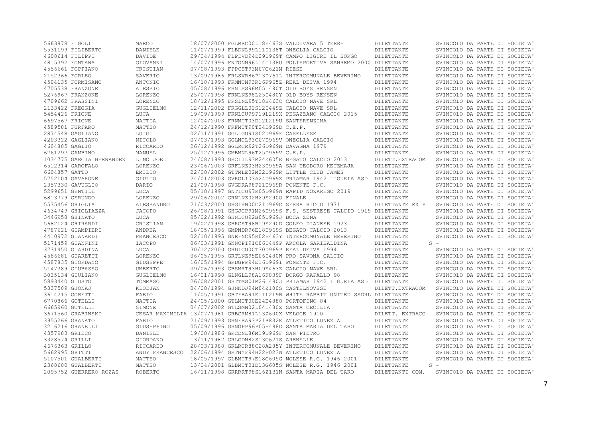| 5663878 FIGOLI |                          | MARCO          |                                                         | 18/07/2000 FGLMRC00L18E463S VALDIVARA 5 TERRE                    | DILETTANTE       | SVINCOLO DA PARTE DI SOCIETA' |
|----------------|--------------------------|----------------|---------------------------------------------------------|------------------------------------------------------------------|------------------|-------------------------------|
|                | 5531199 FILIBERTO        | DANIELE        | 11/07/1999 FLBDNL99L11I138T ONEGLIA CALCIO              |                                                                  | DILETTANTE       | SVINCOLO DA PARTE DI SOCIETA' |
|                | 4608614 FILIPPI          | DAVIDE         |                                                         | 29/04/1994 FLPDVD94D29D969T CAMPO LIGURE IL BORGO                | DILETTANTE       | SVINCOLO DA PARTE DI SOCIETA' |
|                | 4815392 FONTANA          | GIOVANNI       |                                                         | 14/07/1996 FNTGNN96L14I138U POLISPORTIVA SANREMO 2000 DILETTANTE |                  | SVINCOLO DA PARTE DI SOCIETA' |
|                | 4556661 FOPPIANO         | CRISTIAN       | 07/08/1993 FPPCST93M07C621M RIESE                       |                                                                  | DILETTANTE       | SVINCOLO DA PARTE DI SOCIETA' |
| 2152366 FORLEO |                          | SAVERIO        |                                                         | 13/09/1986 FRLSVR86P13D761L INTERCOMUNALE BEVERINO               | DILETTANTE       | SVINCOLO DA PARTE DI SOCIETA' |
|                | 4504135 FORMISANO        | ANTONIO        | 16/10/1993 FRMNTN93R16F965Z REAL DEIVA 1994             |                                                                  | DILETTANTE       | SVINCOLO DA PARTE DI SOCIETA' |
|                | 4705538 FRANZONE         | ALESSIO        | 05/08/1996 FRNLSS96M05I480T OLD BOYS RENSEN             |                                                                  | DILETTANTE       | SVINCOLO DA PARTE DI SOCIETA' |
|                | 5276967 FRANZONE         | <b>LORENZO</b> | 25/07/1998 FRNLNZ98L25I480Y OLD BOYS RENSEN             |                                                                  | DILETTANTE       | SVINCOLO DA PARTE DI SOCIETA' |
|                | 4709662 FRASSINI         | <b>LORENZO</b> | 18/12/1995 FRSLNZ95T18E463C CALCIO NAVE SRL             |                                                                  | DILETTANTE       | SVINCOLO DA PARTE DI SOCIETA' |
|                | 2133422 FREGGIA          | GUGLIELMO      | 12/11/2002 FRGGLL02S12I449Z CALCIO NAVE SRL             |                                                                  | DILETTANTE       | SVINCOLO DA PARTE DI SOCIETA' |
| 5454426 FRIONE |                          | LUCA           |                                                         | 19/09/1999 FRNLCU99P19L219X PEGAZZANO CALCIO 2015                | DILETTANTE       | SVINCOLO DA PARTE DI SOCIETA' |
|                |                          |                |                                                         |                                                                  |                  |                               |
| 6697567 FRIONE |                          | MATTIA         | 12/04/2003 FRNMTT03D12L219U SANTERENZINA                |                                                                  | DILETTANTE       | SVINCOLO DA PARTE DI SOCIETA' |
|                | 4589581 FURFARO          | MATTEO         | 24/12/1990 FRFMTT90T24D969D C.E.P.                      |                                                                  | DILETTANTE       | SVINCOLO DA PARTE DI SOCIETA' |
|                | 2874548 GAGLIANO         | LUIGI          | 02/11/1991 GGLLGU91S02D969F CASELLESE                   |                                                                  | DILETTANTE       | SVINCOLO DA PARTE DI SOCIETA' |
|                | 4203322 GAGLIANO         | NICOLO         | 07/03/1993 GGLNCL93C07D969V ONEGLIA CALCIO              |                                                                  | DILETTANTE       | SVINCOLO DA PARTE DI SOCIETA' |
| 4604805 GAGLIO |                          | RICCARDO       | 26/12/1992 GGLRCR92T26D969N DAVAGNA 1979                |                                                                  | DILETTANTE       | SVINCOLO DA PARTE DI SOCIETA' |
|                | 6761297 GAMBINO          | MANUEL         | 25/12/1996 GMBMNL96T25D969V C.E.P.                      |                                                                  | DILETTANTE       | SVINCOLO DA PARTE DI SOCIETA' |
|                | 1034775 GARCIA HERNANDEZ | LINO JOEL      |                                                         | 24/08/1993 GRCLJL93M24Z605E BEGATO CALCIO 2013                   | DILETT. EXTRACOM | SVINCOLO DA PARTE DI SOCIETA' |
|                | 6512314 GAROFALO         | <b>LORENZO</b> |                                                         | 23/06/2003 GRFLNZ03H23D969A SAN TEODORO KETZMAJA                 | DILETTANTE       | SVINCOLO DA PARTE DI SOCIETA' |
| 6604857 GATTO  |                          | EMILIO         |                                                         | 22/08/2002 GTTMLE02M22D969R LITTLE CLUB JAMES                    | DILETTANTE       | SVINCOLO DA PARTE DI SOCIETA' |
|                | 5752104 GAVARONE         | GIULIO         |                                                         | 24/01/2003 GVRGLI03A24D969Z PRIAMAR 1942 LIGURIA ASD DILETTANTE  |                  | SVINCOLO DA PARTE DI SOCIETA' |
|                | 2357330 GAVUGLIO         | DARIO          | 21/09/1998 GVGDRA98P21D969R PONENTE F.C.                |                                                                  | DILETTANTE       | SVINCOLO DA PARTE DI SOCIETA' |
|                | 5299651 GENTILE          | LUCA           |                                                         | 05/10/1997 GNTLCU97R05D969W RAPID NOZAREGO 2019                  | DILETTANTE       | SVINCOLO DA PARTE DI SOCIETA' |
|                | 6813779 GERUNDO          | LORENZO        | 29/06/2002 GRNLNZ02H29E2900 FINALE                      |                                                                  | DILETTANTE       | SVINCOLO DA PARTE DI SOCIETA' |
|                | 5535456 GHIGLIA          | ALESSANDRO     | 21/03/2000 GHGLSN00C21D969C SERRA RICCO 1971            |                                                                  | DILETTANTE EX P  | SVINCOLO DA PARTE DI SOCIETA' |
|                | 4634749 GHIGLIAZZA       | <b>JACOPO</b>  |                                                         | 26/08/1991 GHGJCP91M26D969S F.S. SESTRESE CALCIO 1919 DILETTANTE |                  | SVINCOLO DA PARTE DI SOCIETA' |
|                | 3446958 GHINATO          | LUCA           | 05/02/1992 GHNLCU92B05D969J BOCA ZENA                   |                                                                  | DILETTANTE       | SVINCOLO DA PARTE DI SOCIETA' |
|                | 5682124 GHIRARDI         | CRISTIAN       |                                                         | 19/02/1998 GHRCST98B19E290D GOLFO DIANESE 1923                   | DILETTANTE       | SVINCOLO DA PARTE DI SOCIETA' |
|                | 4787621 GIAMPIERI        | ANDREA         |                                                         | 18/05/1996 GMPNDR96E18D969S BEGATO CALCIO 2013                   | DILETTANTE       | SVINCOLO DA PARTE DI SOCIETA' |
|                | 4410972 GIANARDI         | FRANCESCO      |                                                         | 02/10/1995 GNRFNC95R02E463Y INTERCOMUNALE BEVERINO               | DILETTANTE       | SVINCOLO DA PARTE DI SOCIETA' |
|                | 5171459 GIANNINI         | IACOPO         |                                                         | 06/03/1991 GNNCPI91C06I449P ARCOLA GARIBALDINA                   | DILETTANTE       | $S =$                         |
|                | 3731450 GIARDINA         | LUCA           | 30/12/2000 GRDLCU00T30D969P REAL DEIVA 1994             |                                                                  |                  | SVINCOLO DA PARTE DI SOCIETA' |
|                |                          |                |                                                         |                                                                  | DILETTANTE       |                               |
|                | 4586681 GIARETTI         | LORENZO        |                                                         | 06/05/1995 GRTLNZ95E06I480W PRO SAVONA CALCIO                    | DILETTANTE       | SVINCOLO DA PARTE DI SOCIETA' |
|                | 4587835 GIORDANO         | GIUSEPPE       | 16/05/1994 GRDGPP94E16D969I PONENTE F.C.                |                                                                  | DILETTANTE       | SVINCOLO DA PARTE DI SOCIETA' |
|                | 5147389 GIUBASSO         | UMBERTO        | 09/06/1993 GBSMRT93H09E463Z CALCIO NAVE SRL             |                                                                  | DILETTANTE       | SVINCOLO DA PARTE DI SOCIETA' |
|                | 3035134 GIULIANO         | GUGLIELMO      | 16/01/1998 GLNGLL98A16F839F BORGO RAPALLO 98            |                                                                  | DILETTANTE       | SVINCOLO DA PARTE DI SOCIETA' |
| 5893440 GIUSTO |                          | TOMMASO        |                                                         | 26/08/2001 GSTTMS01M26I480J PRIAMAR 1942 LIGURIA ASD DILETTANTE  |                  | SVINCOLO DA PARTE DI SOCIETA' |
| 5337509 GJONAJ |                          | KLODJAN        | 04/08/1994 GJNKDJ94M04Z100S CASTELNOVESE                |                                                                  | DILETT. EXTRACOM | SVINCOLO DA PARTE DI SOCIETA' |
|                | 3614215 GOBETTI          | FABIO          |                                                         | 11/05/1991 GBTFBA91E11L219B WHITE RABBIT UNITED SSDRL DILETTANTE |                  | SVINCOLO DA PARTE DI SOCIETA' |
|                | 6770866 GOTELLI          | MATTIA         | 24/05/2000 GTLMTT00E24E4880 PORTOFINO 84                |                                                                  | DILETTANTE       | SVINCOLO DA PARTE DI SOCIETA' |
|                | 6665960 GOTELLI          | SIMONE         | 04/07/2002 GTLSMN02L04I480Z SANTA CECILIA               |                                                                  | DILETTANTE       | SVINCOLO DA PARTE DI SOCIETA' |
|                | 3671560 GRABINSKI        |                | CESAR MAXIMILIA 13/07/1981 GRBCRM81L13Z600X VELOCE 1910 |                                                                  | DILETT. EXTRACO  | SVINCOLO DA PARTE DI SOCIETA' |
|                | 3955266 GRANATO          | FABIO          |                                                         | 21/09/1993 GRNFBA93P21B832K ATLETICO LUNEZIA                     | DILETTANTE       | SVINCOLO DA PARTE DI SOCIETA' |
|                | 3216216 GRANELLI         | GIUSEPPINO     |                                                         | 05/09/1996 GRNGPP96P05E488D SANTA MARIA DEL TARO                 | DILETTANTE       | SVINCOLO DA PARTE DI SOCIETA' |
| 4357983 GRIECO |                          | DANIELE        | 19/08/1986 GRCDNL86M19D969F SAN PIETRO                  |                                                                  | DILETTANTE       | SVINCOLO DA PARTE DI SOCIETA' |
| 3328574 GRILLI |                          | GIORDANO       | 13/11/1982 GRLGDN82S13C621S ARENELLE                    |                                                                  | DILETTANTE       | SVINCOLO DA PARTE DI SOCIETA' |
| 4676363 GRILLO |                          | RICCARDO       |                                                         | 28/03/1988 GRLRCR88C28A285Y INTERCOMUNALE BEVERINO               | DILETTANTE       | SVINCOLO DA PARTE DI SOCIETA' |
| 5662995 GRITTI |                          | ANDY FRANCESCO | 22/06/1994 GRTNYF94H22F023W ATLETICO LUNEZIA            |                                                                  | DILETTANTE       | SVINCOLO DA PARTE DI SOCIETA' |
|                | 5107501 GUALBERTI        | MATTEO         |                                                         | 18/05/1997 GLBMTT97E18G605G NOLESE R.G. 1946 2001                | DILETTANTE       | SVINCOLO DA PARTE DI SOCIETA' |
|                | 2368600 GUALBERTI        | MATTEO         |                                                         | 13/04/2001 GLBMTT01D13G605S NOLESE R.G. 1946 2001                | DILETTANTE       | $S -$                         |
|                | 2095752 GUERRERO ROZAS   | <b>ROBERTO</b> |                                                         | 16/11/1998 GRRRRT98S16Z131N SANTA MARIA DEL TARO                 | DILETTANTI COM.  | SVINCOLO DA PARTE DI SOCIETA' |
|                |                          |                |                                                         |                                                                  |                  |                               |

7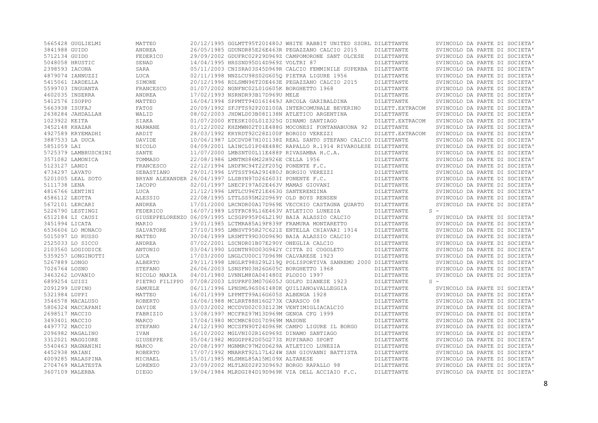| 5665428 GUGLIELMI                    | MATTEO                         |                                                          | 20/12/1995 GGLMTT95T201480J WHITE RABBIT UNITED SSDRL DILETTANTE |                          | SVINCOLO DA PARTE DI SOCIETA'                                  |
|--------------------------------------|--------------------------------|----------------------------------------------------------|------------------------------------------------------------------|--------------------------|----------------------------------------------------------------|
| 3841988 GUIDO                        | ANDREA                         |                                                          | 26/05/1985 GDUNDR85E26E463R PEGAZZANO CALCIO 2015                | DILETTANTE               | SVINCOLO DA PARTE DI SOCIETA'                                  |
| 5712134 GUIDO                        | FEDERICO                       |                                                          | 29/09/2002 GDUFRC02P29D969Z CAMPOMORONE SANT OLCESE              | DILETTANTE               | SVINCOLO DA PARTE DI SOCIETA'                                  |
| 5048058 HRUSTIC                      | SENAD                          | 14/04/1995 HRSSND95D14D969Z VOLTRI 87                    |                                                                  | DILETTANTE               | SVINCOLO DA PARTE DI SOCIETA'                                  |
| 2398593 IACONA                       | SARA                           |                                                          | 05/11/2003 CNISRA03S45D969R CALCIO FEMMINILE SUPERBA DILETTANTE  |                          | SVINCOLO DA PARTE DI SOCIETA'                                  |
| 4879074 IANNUZZI                     | LUCA                           |                                                          | 02/11/1998 NNZLCU98S02G6050 PIETRA LIGURE 1956                   | DILETTANTE               | SVINCOLO DA PARTE DI SOCIETA'                                  |
| 5415061 IARDELLA                     | SIMONE                         |                                                          | 20/12/1996 RDLSMN96T20E463E PEGAZZANO CALCIO 2015                | DILETTANTE               | SVINCOLO DA PARTE DI SOCIETA'                                  |
| 5599703 INGUANTA                     | FRANCESCO                      | 01/07/2002 NGNFNC02L01G605K BORGHETTO 1968               |                                                                  | DILETTANTE               | SVINCOLO DA PARTE DI SOCIETA'                                  |
| 4602035 INSERRA                      | ANDREA                         | 17/02/1993 NSRNDR93B17D969U MELE                         |                                                                  | DILETTANTE               | SVINCOLO DA PARTE DI SOCIETA'                                  |
| 5412576 ISOPPO                       | MATTEO                         |                                                          | 16/04/1994 SPPMTT94D16I449J ARCOLA GARIBALDINA                   | DILETTANTE               | SVINCOLO DA PARTE DI SOCIETA'                                  |
| 5663938 ISUFAJ                       | FATOS                          |                                                          | 20/09/1992 SFJFTS92P20Z100A INTERCOMUNALE BEVERINO               | DILETT. EXTRACOM         | SVINCOLO DA PARTE DI SOCIETA'                                  |
| 2638284 JAHDALLAH                    | WALID                          |                                                          | 08/02/2003 JHDWLD03B08I138N ATLETICO ARGENTINA                   | DILETTANTE               | SVINCOLO DA PARTE DI SOCIETA'                                  |
| 1023922 KEITA                        | SIAKA                          | 01/07/2000 KTESKI00L01Z325G DINAMO SANTIAGO              |                                                                  | DILETT. EXTRACOM         | SVINCOLO DA PARTE DI SOCIETA'                                  |
| 3452148 KHAZAR                       | MARWANE                        |                                                          | 01/12/2002 KHZMWN02T01E488G MOCONESI FONTANABUONA 92 DILETTANTE  |                          | SVINCOLO DA PARTE DI SOCIETA'                                  |
| 4927589 KRYEMADHI                    | ARDIT                          | 28/03/1992 KRYRDT92C28Z100F BORGIO VEREZZI               |                                                                  | DILETT. EXTRACOM         | SVINCOLO DA PARTE DI SOCIETA'                                  |
| 3887533 LA DUCA                      | DAVIDE                         |                                                          | 10/06/1987 LDCDVD87H10I138Z REAL SANTO STEFANO CALCIO DILETTANTE |                          | SVINCOLO DA PARTE DI SOCIETA'                                  |
| 5851059 LAI                          | NICOLO                         |                                                          | 04/09/2001 LAINCL01P04E488C RAPALLO R.1914 RIVAROLESE DILETTANTE |                          | SVINCOLO DA PARTE DI SOCIETA'                                  |
| 5725379 LAMBRUSCHINI                 | SANTE                          |                                                          | 11/07/2000 LMBSNT00L11E488P RIVASAMBA H.C.A.                     | DILETTANTE               | SVINCOLO DA PARTE DI SOCIETA'                                  |
| 3571082 LAMONICA                     | TOMMASO                        | 22/08/1986 LMNTMS86M22H926E CELLA 1956                   |                                                                  | DILETTANTE               | SVINCOLO DA PARTE DI SOCIETA'                                  |
| 5123127 LANDI                        | FRANCESCO                      | 22/12/1994 LNDFNC94T22F2050 PONENTE F.C.                 |                                                                  | DILETTANTE               | SVINCOLO DA PARTE DI SOCIETA'                                  |
| 4734297 LAVATO                       | SEBASTIANO                     | 29/01/1996 LVTSST96A29I480J BORGIO VEREZZI               |                                                                  | DILETTANTE               | SVINCOLO DA PARTE DI SOCIETA'                                  |
| 5201005 LEAL SOTO                    |                                | BRYAN ALEXANDER 26/04/1997 LLSBYN97D26Z603I PONENTE F.C. |                                                                  | DILETTANTE               | SVINCOLO DA PARTE DI SOCIETA'                                  |
| 5111738 LENA                         | IACOPO                         | 02/01/1997 LNECPI97A02E463V MAMAS GIOVANI                |                                                                  | DILETTANTE               | SVINCOLO DA PARTE DI SOCIETA'                                  |
| 4816766 LENTINI                      | LUCA                           | 21/12/1996 LNTLCU96T21E463G SANTERENZINA                 |                                                                  | DILETTANTE               | SVINCOLO DA PARTE DI SOCIETA'                                  |
| 4586112 LEOTTA                       | ALESSIO                        | 22/08/1995 LTTLSS95M22D969Y OLD BOYS RENSEN              |                                                                  | DILETTANTE               | SVINCOLO DA PARTE DI SOCIETA'                                  |
| 5672101 LERCARI                      | ANDREA                         |                                                          | 17/01/2000 LRCNDR00A17D969E VECCHIO CASTAGNA OUARTO              | DILETTANTE               | SVINCOLO DA PARTE DI SOCIETA'                                  |
| 5226790 LESTINGI                     | FEDERICO                       |                                                          | 16/07/1989 LSTFRC89L16E463V ATLETICO LUNEZIA                     | DILETTANTE               | $S -$                                                          |
|                                      |                                |                                                          |                                                                  |                          |                                                                |
|                                      |                                |                                                          |                                                                  |                          |                                                                |
| 6512184 LI CAUSI                     |                                |                                                          | GIUSEPPELORENZO 06/09/1995 LCSGPP95P06L219U BAIA ALASSIO CALCIO  | DILETTANTE               | SVINCOLO DA PARTE DI SOCIETA'                                  |
| 3451994 LICATA                       | MARIO                          |                                                          | 19/01/1985 LCTMRA85A19F839F FRAMURA MONTARETTO                   | DILETTANTE               | SVINCOLO DA PARTE DI SOCIETA'                                  |
| 6536606 LO MONACO                    | SALVATORE                      |                                                          | 27/10/1995 LMNSVT95R27C621Z ENTELLA CHIAVARI 1914                | DILETTANTE               | SVINCOLO DA PARTE DI SOCIETA'                                  |
| 5015097 LO RUSSO                     | MATTEO                         |                                                          | 30/04/1999 LRSMTT99D30D9690 BAIA ALASSIO CALCIO                  | DILETTANTE               | SVINCOLO DA PARTE DI SOCIETA'                                  |
| 2525033 LO SICCO                     | ANDREA                         | 07/02/2001 LSCNDR01B07E290Y ONEGLIA CALCIO               |                                                                  | DILETTANTE               | SVINCOLO DA PARTE DI SOCIETA'                                  |
| 2103560 LOGIODICE                    | ANTONIO                        |                                                          | 03/04/1990 LGDNTN90D03G942Y CITTA DI COGOLETO                    | DILETTANTE               | SVINCOLO DA PARTE DI SOCIETA'                                  |
| 5359257 LONGINOTTI                   | LUCA                           | 17/03/2000 LNGLCU00C17D969N CALVARESE 1923               |                                                                  | DILETTANTE               | SVINCOLO DA PARTE DI SOCIETA'                                  |
| 5267889 LONGO                        | ALBERTO                        |                                                          | 29/11/1998 LNGLRT98S29L219Q POLISPORTIVA SANREMO 2000 DILETTANTE |                          | SVINCOLO DA PARTE DI SOCIETA'                                  |
| 7026764 LOSNO                        | STEFANO                        | 26/06/2003 LSNSFN03H26G605C BORGHETTO 1968               |                                                                  | DILETTANTE               | SVINCOLO DA PARTE DI SOCIETA'                                  |
| 3463262 LOVANIO                      | NICOLO MARIA                   | 04/01/1980 LVNNLM80A04I480Z PLODIO 1997                  |                                                                  | DILETTANTE               | SVINCOLO DA PARTE DI SOCIETA'                                  |
| 6899254 LUISI                        |                                |                                                          | PIETRO FILIPPO 07/08/2003 LSUPRF03M07G605J GOLFO DIANESE 1923    | DILETTANTE               | $S =$                                                          |
| 2091299 LUPINO                       | SAMUELE                        |                                                          | 06/11/1996 LPNSML96S06I480K OUILIANO&VALLEGGIA                   | DILETTANTE               | SVINCOLO DA PARTE DI SOCIETA'                                  |
| 5321984 LUPPI                        | MATTEO                         | 16/01/1999 LPPMTT99A16G605S ALBENGA 1928                 |                                                                  | DILETTANTE               | SVINCOLO DA PARTE DI SOCIETA'                                  |
| 3546578 MACALUSO                     | ROBERTO                        | 16/06/1988 MCLRRT88H16G273X CARASCO 08                   |                                                                  | DILETTANTE               | SVINCOLO DA PARTE DI SOCIETA'                                  |
| 5806324 MACCAPANI                    | DAVIDE                         |                                                          | 03/03/2002 MCCDVD02C03Z123M VENTIMIGLIACALCIO                    | DILETTANTE               | SVINCOLO DA PARTE DI SOCIETA'                                  |
| 2698517 MACCIO                       | FABRIZIO                       | 13/08/1997 MCCFRZ97M13D969M GENOA CFG 1999               |                                                                  | DILETTANTE               | SVINCOLO DA PARTE DI SOCIETA'                                  |
| 3493401 MACCIO                       | MARCO                          | 17/04/1980 MCCMRC80D17D969M MASONE                       |                                                                  | DILETTANTE               | SVINCOLO DA PARTE DI SOCIETA'                                  |
| 4497772 MACCIO                       | STEFANO                        |                                                          | 24/12/1990 MCCSFN90T24D969K CAMPO LIGURE IL BORGO                | DILETTANTE               | SVINCOLO DA PARTE DI SOCIETA'                                  |
| 2096982 MAGALINO                     | <b>IVAN</b>                    | 16/10/2002 MGLVNI02R16D969Z DINAMO SANTIAGO              |                                                                  | DILETTANTE               | SVINCOLO DA PARTE DI SOCIETA'                                  |
| 3312021 MAGGIORE                     | GIUSEPPE                       | 05/04/1982 MGGGPP82D05G273Z RUPINARO SPORT               |                                                                  | DILETTANTE               | SVINCOLO DA PARTE DI SOCIETA'                                  |
| 5540463 MAGNANINI                    | MARCO                          |                                                          | 20/08/1997 MGNMRC97M20D629A ATLETICO LUNEZIA                     | DILETTANTE               | SVINCOLO DA PARTE DI SOCIETA'                                  |
| 4452938 MAIANI                       | ROBERTO                        |                                                          | 17/07/1992 MNARRT92L17L424W SAN GIOVANNI BATTISTA                | DILETTANTE               | SVINCOLO DA PARTE DI SOCIETA'                                  |
| 4009285 MALASPINA                    | MICHAEL                        | 15/01/1985 MLSMHL85A15M109X ALTARESE                     |                                                                  | DILETTANTE               | SVINCOLO DA PARTE DI SOCIETA'                                  |
| 2704769 MALATESTA<br>3607109 MALERBA | <b>LORENZO</b><br><b>DIEGO</b> | 23/09/2002 MLTLNZ02P23D969J BORGO RAPALLO 98             | 19/04/1984 MLRDGI84D19D969K VIA DELL ACCIAIO F.C.                | DILETTANTE<br>DILETTANTE | SVINCOLO DA PARTE DI SOCIETA'<br>SVINCOLO DA PARTE DI SOCIETA' |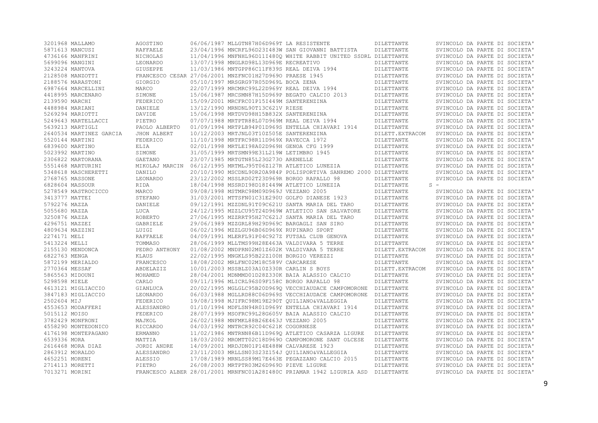|               | 3201968 MALLAMO         | AGOSTINO        | 06/06/1987 MLLGTN87H06D969T LA RESISTENTE               |                                                                                 | DILETTANTE       | SVINCOLO DA PARTE DI SOCIETA' |
|---------------|-------------------------|-----------------|---------------------------------------------------------|---------------------------------------------------------------------------------|------------------|-------------------------------|
|               | 5871613 MANCUSI         | <b>RAFFAELE</b> |                                                         | 23/04/1996 MNCRFL96D23I483W SAN GIOVANNI BATTISTA                               | DILETTANTE       | SVINCOLO DA PARTE DI SOCIETA' |
|               | 4736166 MANFRINI        | NICHOLAS        |                                                         | 11/04/1996 MNFNHL96D11I480Q WHITE RABBIT UNITED SSDRL DILETTANTE                |                  | SVINCOLO DA PARTE DI SOCIETA' |
|               | 5699096 MANGINI         | LEONARDO        | 13/07/1998 MNGLRD98L13D969E RECREATIVO                  |                                                                                 | DILETTANTE       | SVINCOLO DA PARTE DI SOCIETA' |
|               | 3243224 MANTOVA         | GIUSEPPE        | 11/03/1986 MNTGPP86C11F839S REAL DEIVA 1994             |                                                                                 | DILETTANTE       | SVINCOLO DA PARTE DI SOCIETA' |
|               | 2128508 MANZOTTI        |                 | FRANCESCO CESAR 27/06/2001 MNZFNC01H27D9690 PRAESE 1945 |                                                                                 | DILETTANTE       | SVINCOLO DA PARTE DI SOCIETA' |
|               | 2188576 MARASTONI       | GIORGIO         | 05/10/1997 MRSGRG97R05D969L BOCA ZENA                   |                                                                                 | DILETTANTE       | SVINCOLO DA PARTE DI SOCIETA' |
|               | 6987664 MARCELLINI      | MARCO           | 22/07/1999 MRCMRC99L22D969Y REAL DEIVA 1994             |                                                                                 | DILETTANTE       | SVINCOLO DA PARTE DI SOCIETA' |
|               | 4418995 MARCENARO       | SIMONE          |                                                         | 15/06/1987 MRCSMN87H15D969P BEGATO CALCIO 2013                                  | DILETTANTE       | SVINCOLO DA PARTE DI SOCIETA' |
|               | 2139590 MARCHI          | FEDERICO        | 15/09/2001 MRCFRC01P15I449M SANTERENZINA                |                                                                                 | DILETTANTE       | SVINCOLO DA PARTE DI SOCIETA' |
|               | 4488984 MARIANI         | DANIELE         | 13/12/1990 MRNDNL90T13C621V RIESE                       |                                                                                 | DILETTANTE       | SVINCOLO DA PARTE DI SOCIETA' |
|               | 5269294 MARIOTTI        | DAVIDE          | 15/06/1998 MRTDVD98H15B832X SANTERENZINA                |                                                                                 | DILETTANTE       | SVINCOLO DA PARTE DI SOCIETA' |
|               | 5249643 MARTELLACCI     | PIETRO          | 07/07/1988 MRTPTR88L07D969M REAL DEIVA 1994             |                                                                                 | DILETTANTE       | SVINCOLO DA PARTE DI SOCIETA' |
|               | 5639213 MARTIGLI        | PAOLO ALBERTO   |                                                         | 01/09/1994 MRTPLB94P01D969S ENTELLA CHIAVARI 1914                               | DILETTANTE       | SVINCOLO DA PARTE DI SOCIETA' |
|               | 2640534 MARTINEZ GARCIA | JHON ALBERT     | 10/12/2003 MRTJNL03T10Z505E SANTERENZINA                |                                                                                 | DILETT. EXTRACOM | SVINCOLO DA PARTE DI SOCIETA' |
|               | 5520144 MARTINI         | FEDERICO        | 11/10/1998 MRTFRC98R11D969X RAVECCA 1972                |                                                                                 | DILETTANTE       | SVINCOLO DA PARTE DI SOCIETA' |
|               | 6839600 MARTINO         | ELIA            | 02/01/1998 MRTLEI98A02D969H GENOA CFG 1999              |                                                                                 | DILETTANTE       | SVINCOLO DA PARTE DI SOCIETA' |
|               | 5023992 MARTINO         | SIMONE          | 31/05/1999 MRTSMN99E31L219W LETIMBRO 1945               |                                                                                 | DILETTANTE       | SVINCOLO DA PARTE DI SOCIETA' |
|               | 2306822 MARTORANA       | <b>GAETANO</b>  | 23/07/1985 MRTGTN85L23G2730 ARENELLE                    |                                                                                 | DILETTANTE       | SVINCOLO DA PARTE DI SOCIETA' |
|               | 5551468 MARTURINI       | MIKOLAJ MARCIN  | 06/12/1995 MRTMLJ95T06Z127R ATLETICO LUNEZIA            |                                                                                 | DILETTANTE       | SVINCOLO DA PARTE DI SOCIETA' |
|               | 5348618 MASCHERETTI     | DANILO          |                                                         | 20/10/1990 MSCDNL90R20A984P POLISPORTIVA SANREMO 2000 DILETTANTE                |                  | SVINCOLO DA PARTE DI SOCIETA' |
|               | 2768765 MASSONE         | LEONARDO        | 23/12/2002 MSSLRD02T23D969R BORGO RAPALLO 98            |                                                                                 | DILETTANTE       | SVINCOLO DA PARTE DI SOCIETA' |
|               |                         |                 |                                                         |                                                                                 |                  | $S =$                         |
|               | 6828604 MASSOUR         | RIDA            | 18/04/1998 MSSRDI98D18I449W ATLETICO LUNEZIA            |                                                                                 | DILETTANTE       |                               |
|               | 5278549 MASTROCICCO     | MARCO           | 09/08/1998 MSTMRC98M09D969J VEZZANO 2005                |                                                                                 | DILETTANTE       | SVINCOLO DA PARTE DI SOCIETA' |
|               | 3413777 MATTEI          | STEFANO         |                                                         | 31/03/2001 MTTSFN01C31E290U GOLFO DIANESE 1923                                  | DILETTANTE       | SVINCOLO DA PARTE DI SOCIETA' |
| 5792276 MAZZA |                         | DANIELE         |                                                         | 09/12/1991 MZZDNL91T09C621U SANTA MARIA DEL TARO                                | DILETTANTE       | SVINCOLO DA PARTE DI SOCIETA' |
| 5055680 MAZZA |                         | LUCA            |                                                         | 24/12/1995 MZZLCU95T24D969W ATLETICO SAN SALVATORE                              | DILETTANTE       | SVINCOLO DA PARTE DI SOCIETA' |
| 3250876 MAZZA |                         | ROBERTO         |                                                         | 27/06/1995 MZZRRT95H27C621J SANTA MARIA DEL TARO                                | DILETTANTE       | SVINCOLO DA PARTE DI SOCIETA' |
|               | 4296751 MAZZEI          | GABRIELE        |                                                         | 29/06/1989 MZZGRL89H29D969C BARGAGLI SAN SIRO                                   | DILETTANTE       | SVINCOLO DA PARTE DI SOCIETA' |
|               | 4809634 MAZZINI         | LUIGI           | 06/02/1996 MZZLGU96B06D969X RUPINARO SPORT              |                                                                                 | DILETTANTE       | SVINCOLO DA PARTE DI SOCIETA' |
| 2274171 MELI  |                         | <b>RAFFAELE</b> |                                                         | 04/09/1991 MLERFL91P04C927Z FUTSAL CLUB GENOVA                                  | DILETTANTE       | SVINCOLO DA PARTE DI SOCIETA' |
| 5413224 MELLI |                         | TOMMASO         |                                                         | 28/06/1999 MLLTMS99H28E463A VALDIVARA 5 TERRE                                   | DILETTANTE       | SVINCOLO DA PARTE DI SOCIETA' |
|               | 2155130 MENDONCA        | PEDRO ANTHONY   |                                                         | 01/08/2002 MNDPRN02M01Z602K VALDIVARA 5 TERRE                                   | DILETT. EXTRACOM | SVINCOLO DA PARTE DI SOCIETA' |
| 6822763 MENGA |                         | KLAUS           | 22/02/1995 MNGKLS95B22Z100H BORGIO VEREZZI              |                                                                                 | DILETTANTE       | SVINCOLO DA PARTE DI SOCIETA' |
|               | 5872199 MERIALDO        | FRANCESCO       | 18/08/2002 MRLFNC02M18C589V CARCARESE                   |                                                                                 | DILETTANTE       | SVINCOLO DA PARTE DI SOCIETA' |
|               | 2770364 MESSAF          | ABDELAZIZ       | 10/01/2003 MSSBLZ03A10Z330R CARLIN S BOYS               |                                                                                 | DILETT. EXTRACOM | SVINCOLO DA PARTE DI SOCIETA' |
|               | 5865563 MIDOUNI         | MOHAMED         |                                                         | 28/04/2001 MDNMMD01D28Z330K BAIA ALASSIO CALCIO                                 | DILETTANTE       | SVINCOLO DA PARTE DI SOCIETA' |
| 5298598 MIELE |                         | CARLO           | 09/11/1996 MLICRL96S09F158C BORGO RAPALLO 98            |                                                                                 | DILETTANTE       | SVINCOLO DA PARTE DI SOCIETA' |
|               | 4613121 MIGLIACCIO      | GIANLUCA        |                                                         | 20/02/1995 MGLGLC95B20D969Q VECCHIAUDACE CAMPOMORONE                            | DILETTANTE       | SVINCOLO DA PARTE DI SOCIETA' |
|               | 3847183 MIGLIACCIO      | LEONARDO        |                                                         | 06/03/1988 MGLLRD88C06D969S VECCHIAUDACE CAMPOMORONE                            | DILETTANTE       | SVINCOLO DA PARTE DI SOCIETA' |
| 2502604 MIJ   |                         | FEDERICO        |                                                         | 19/08/1998 MJIFRC98M19E290T QUILIANO&VALLEGGIA                                  | DILETTANTE       | SVINCOLO DA PARTE DI SOCIETA' |
|               | 4553653 MODAFFERI       | ALESSANDRO      |                                                         | 01/10/1994 MDFLSN94R01D969Y ENTELLA CHIAVARI 1914                               | DILETTANTE       | SVINCOLO DA PARTE DI SOCIETA' |
| 5015112 MOISO |                         | FEDERICO        |                                                         | 28/07/1999 MSOFRC99L28G605V BAIA ALASSIO CALCIO                                 | DILETTANTE       | SVINCOLO DA PARTE DI SOCIETA' |
|               | 3782429 MONFRONI        | MAJKOL          | 26/02/1988 MNFMKL88B26E463J VEZZANO 2005                |                                                                                 | DILETTANTE       | SVINCOLO DA PARTE DI SOCIETA' |
|               | 4558290 MONTEDONICO     | RICCARDO        | 04/03/1992 MNTRCR92C04C621K COGORNESE                   |                                                                                 | DILETTANTE       | SVINCOLO DA PARTE DI SOCIETA' |
|               | 4176198 MONTEPAGANO     | ERMANNO         |                                                         | 11/02/1986 MNTRNN86B11D969O ATLETICO CASARZA LIGURE                             | DILETTANTE       | SVINCOLO DA PARTE DI SOCIETA' |
| 6539336 MORA  |                         | MATTIA          |                                                         | 18/03/2002 MROMTT02C18D9690 CAMPOMORONE SANT OLCESE                             | DILETTANTE       | SVINCOLO DA PARTE DI SOCIETA' |
|               | 2616468 MORA DIAZ       | JORDI ANDRE     | 14/09/2001 MRDJDN01P14E488W CALVARESE 1923              |                                                                                 | DILETTANTE       | SVINCOLO DA PARTE DI SOCIETA' |
|               | 2863912 MORALDO         | ALESSANDRO      |                                                         | 23/11/2003 MRLLSN03S23Z154J QUILIANO&VALLEGGIA                                  | DILETTANTE       | SVINCOLO DA PARTE DI SOCIETA' |
|               | 4652251 MORENI          | ALESSIO         |                                                         | 17/08/1989 MRNLSS89M17E463E PEGAZZANO CALCIO 2015                               | DILETTANTE       | SVINCOLO DA PARTE DI SOCIETA' |
|               | 2714113 MORETTI         | PIETRO          | 26/08/2003 MRTPTR03M26D969D PIEVE LIGURE                |                                                                                 | DILETTANTE       | SVINCOLO DA PARTE DI SOCIETA' |
|               | 7013271 MORINI          |                 |                                                         | FRANCESCO ALBER 28/01/2001 MRNFNC01A28I480C PRIAMAR 1942 LIGURIA ASD DILETTANTE |                  | SVINCOLO DA PARTE DI SOCIETA' |
|               |                         |                 |                                                         |                                                                                 |                  |                               |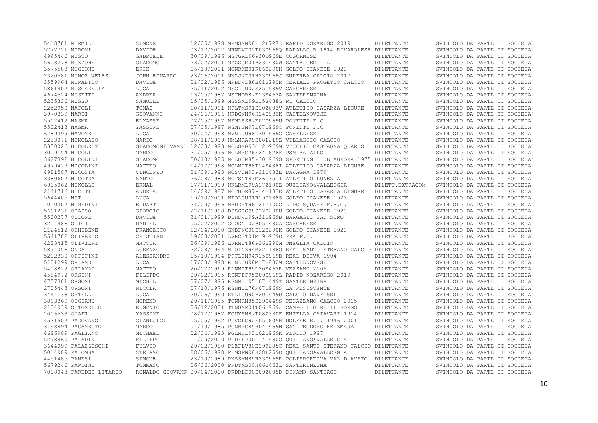| 5418781 MORMILE     |                         | SIMONE          |                                                             | 12/05/1998 MRMSMN98E12L727L RAPID NOZAREGO 2019                     | DILETTANTE        | SVINCOLO DA PARTE DI SOCIETA' |
|---------------------|-------------------------|-----------------|-------------------------------------------------------------|---------------------------------------------------------------------|-------------------|-------------------------------|
| 5777721 MORONI      |                         | DAVIDE          |                                                             | 03/12/2002 MRNDVD02T03D9690 RAPALLO R.1914 RIVAROLESE DILETTANTE    |                   | SVINCOLO DA PARTE DI SOCIETA' |
| 4965446 MOSTO       |                         | GABRIELE        | 30/09/1996 MSTGRL96P30D969E COGORNESE                       |                                                                     | DILETTANTE        | SVINCOLO DA PARTE DI SOCIETA' |
| 5608278 MOZZONE     |                         | GIACOMO         | 23/02/2001 MZZGCM01B23I480W SANTA CECILIA                   |                                                                     | DILETTANTE        | SVINCOLO DA PARTE DI SOCIETA' |
| 3575583 MUGIONE     |                         | ERIK            |                                                             | 06/10/2001 MGNRKE01R06E290H GOLFO DIANESE 1923                      | DILETTANTE        | SVINCOLO DA PARTE DI SOCIETA' |
| 2320581 MUNOZ VELEZ |                         | JOHN EDUARDO    |                                                             | 23/06/2001 MNZJND01H23D969J SUPERBA CALCIO 2017                     | DILETTANTE        | SVINCOLO DA PARTE DI SOCIETA' |
| 3559964 MURABITO    |                         | DAVIDE          |                                                             | 01/02/1986 MRBDVD86B01E290R CERIALE PROGETTO CALCIO                 | DILETTANTE        | SVINCOLO DA PARTE DI SOCIETA' |
| 5861407 MUSCARELLA  |                         | LUCA            | 25/11/2002 MSCLCU02S25C589V CARCARESE                       |                                                                     | DILETTANTE        | SVINCOLO DA PARTE DI SOCIETA' |
| 4674524 MUSETTI     |                         | ANDREA          | 13/05/1987 MSTNDR87E13E463A SANTERENZINA                    |                                                                     | DILETTANTE        | SVINCOLO DA PARTE DI SOCIETA' |
| 5235336 MUSSO       |                         | SAMUELE         | 15/05/1999 MSSSML99E15E488G RI CALCIO                       |                                                                     | DILETTANTE        | SVINCOLO DA PARTE DI SOCIETA' |
| 2252950 NAPOLI      |                         | TOMAS           |                                                             | 10/11/1991 NPLTMS91S10Z603V ATLETICO CASARZA LIGURE                 | DILETTANTE        | SVINCOLO DA PARTE DI SOCIETA' |
| 3970339 NARDI       |                         | GIOVANNI        | 24/06/1996 NRDGNN96H24B832K CASTELNOVESE                    |                                                                     | DILETTANTE        | SVINCOLO DA PARTE DI SOCIETA' |
| 5502412 NASMA       |                         | ELYASSE         | 07/05/1997 NSMLSS97E07D969U PONENTE F.C.                    |                                                                     | DILETTANTE        | SVINCOLO DA PARTE DI SOCIETA' |
| 5502413 NASMA       |                         | YASSINE         | 07/05/1997 NSMYSN97E07D969C PONENTE F.C.                    |                                                                     | DILETTANTE        | SVINCOLO DA PARTE DI SOCIETA' |
| 6789399 NAVONE      |                         | LUCA            | 30/04/1998 NVNLCU98D30D969G CASELLESE                       |                                                                     | DILETTANTE        | SVINCOLO DA PARTE DI SOCIETA' |
| 2233071 NEMOLATO    |                         | MARIO           | 08/11/1999 NMLMRA99S08L219Z VILLAGGIO CALCIO                |                                                                     | DILETTANTE        | SVINCOLO DA PARTE DI SOCIETA' |
| 5350026 NICOLETTI   |                         |                 |                                                             | GIACOMOGIOVANNI 12/03/1993 NCLGMG93C12D969M VECCHIO CASTAGNA OUARTO | DILETTANTE        | SVINCOLO DA PARTE DI SOCIETA' |
| 3009154 NICOLI      |                         | MARCO           | 24/05/1976 NCLMRC76E24I628F PSM RAPALLO                     |                                                                     | DILETTANTE        | SVINCOLO DA PARTE DI SOCIETA' |
| 3627392 NICOLINI    |                         | GIACOMO         |                                                             | 30/10/1985 NCLGCM85R30D969G SPORTING CLUB AURORA 1975 DILETTANTE    |                   | SVINCOLO DA PARTE DI SOCIETA' |
| 4979479 NICOLINI    |                         | MATTEO          |                                                             | 14/12/1998 NCLMTT98T14E488I ATLETICO CASARZA LIGURE                 | DILETTANTE        | SVINCOLO DA PARTE DI SOCIETA' |
| 4981507 NICOSIA     |                         | <b>VINCENZO</b> | 21/09/1993 NCSVCN93P21I483E DAVAGNA 1979                    |                                                                     | DILETTANTE        | SVINCOLO DA PARTE DI SOCIETA' |
| 3380607 NICOTRA     |                         | SANTO           | 26/08/1983 NCTSNT83M26C351I ATLETICO LUNEZIA                |                                                                     | DILETTANTE        | SVINCOLO DA PARTE DI SOCIETA' |
| 6915062 NIKOLLI     |                         | ERMAL           |                                                             | 17/01/1999 NKLRML99A17Z100Z QUILIANO&VALLEGGIA                      | DILETT. EXTRACOM  | SVINCOLO DA PARTE DI SOCIETA' |
| 2141716 NOCETI      |                         | ANDREA          |                                                             | 14/09/1987 NCTNDR87P14H183E ATLETICO CASARZA LIGURE                 | DILETTANTE        | SVINCOLO DA PARTE DI SOCIETA' |
| 5644405 NOT         |                         | LUCA            |                                                             | 19/10/2001 NTOLCU01R19I138S GOLFO DIANESE 1923                      | DILETTANTE        | SVINCOLO DA PARTE DI SOCIETA' |
| 1010307 NUREDINI    |                         | EDUART          |                                                             | 21/09/1996 NRDDRT96P21Z100C LIDO SQUARE F.B.C.                      | DILETTANTE        | SVINCOLO DA PARTE DI SOCIETA' |
| 5691231 ODASSO      |                         | GIORGIO         |                                                             | 22/11/1998 DSSGRG98S22E290U GOLFO DIANESE 1923                      | DILETTANTE        | SVINCOLO DA PARTE DI SOCIETA' |
| 5500277 ODDONE      |                         | DAVIDE          |                                                             | 31/01/1999 DDNDVD99A31D969B BARGAGLI SAN SIRO                       | DILETTANTE        | SVINCOLO DA PARTE DI SOCIETA' |
| 3204486 OGICI       |                         | DANIEL          | 05/02/2002 GCODNL02B05I480A CARCARESE                       |                                                                     | DILETTANTE        | SVINCOLO DA PARTE DI SOCIETA' |
| 2124512 OGNIBENE    |                         | FRANCESCO       |                                                             | 12/04/2000 GNBFNC00D12E290K GOLFO DIANESE 1923                      | DILETTANTE        | SVINCOLO DA PARTE DI SOCIETA' |
| 5541782 OLIVERIO    |                         | CRISTIAN        | 19/08/2001 LVRCST01M19D969D PRA F.C.                        |                                                                     | DILETTANTE        | SVINCOLO DA PARTE DI SOCIETA' |
| 4223415 OLIVIERI    |                         | MATTIA          | 26/09/1986 LVRMTT86P26E290M ONEGLIA CALCIO                  |                                                                     | DILETTANTE        | SVINCOLO DA PARTE DI SOCIETA' |
| 5874056 ONDA        |                         | LORENZO         |                                                             | 22/08/1994 NDOLNZ94M22I1380 REAL SANTO STEFANO CALCIO DILETTANTE    |                   | SVINCOLO DA PARTE DI SOCIETA' |
| 5212330 OPPICINI    |                         | ALESSANDRO      | 15/10/1994 PPCLSN94R15D969B REAL DEIVA 1994                 |                                                                     | DILETTANTE        | SVINCOLO DA PARTE DI SOCIETA' |
| 5101299 ORLANDI     |                         | LUCA            | 17/08/1998 RLNLCU98M17B832M CASTELNOVESE                    |                                                                     | DILETTANTE        | SVINCOLO DA PARTE DI SOCIETA' |
| 5418872 ORLANDI     |                         | MATTEO          | 20/07/1999 RLNMTT99L20E463R VEZZANO 2005                    |                                                                     | DILETTANTE        | SVINCOLO DA PARTE DI SOCIETA' |
| 4584972 ORSINI      |                         | FILIPPO         |                                                             | 09/02/1995 RSNFPP95B09D969L RAPID NOZAREGO 2019                     | DILETTANTE        | SVINCOLO DA PARTE DI SOCIETA' |
| 4757301 ORSONI      |                         | MICHEL          | 07/07/1995 RSNMHL95L07I449T SANTERENZINA                    |                                                                     | DILETTANTE        | SVINCOLO DA PARTE DI SOCIETA' |
| 2705443 ORSONI      |                         | NICOLA          | 07/10/1976 RSNNCL76R07D969S LA RESISTENTE                   |                                                                     | DILETTANTE        | SVINCOLO DA PARTE DI SOCIETA' |
| 3444138 ORTELLI     |                         | LUCA            | 20/06/1990 RTLLCU90H20I449U CALCIO NAVE SRL                 |                                                                     | DILETTANTE        | SVINCOLO DA PARTE DI SOCIETA' |
| 3893369 OTGIANU     |                         | MORENO          |                                                             | 29/11/1985 TGNMRN85S29I449S PEGAZZANO CALCIO 2015                   | DILETTANTE        | SVINCOLO DA PARTE DI SOCIETA' |
| 2104939 OTTONELLO   |                         | EUGENIO         |                                                             | 06/12/2001 TTNGNE01T06D969J CAMPO LIGURE IL BORGO                   | DILETTANTE        | SVINCOLO DA PARTE DI SOCIETA' |
| 1006533 OUAFI       |                         | YASSINE         |                                                             | 08/12/1987 FOUYSN87T08Z330F ENTELLA CHIAVARI 1914                   | DILETTANTE        | SVINCOLO DA PARTE DI SOCIETA' |
| 4531507 PADOVANO    |                         | GIANLUIGI       |                                                             | 05/05/1992 PDVGLG92E05G605H NOLESE R.G. 1946 2001                   | DILETTANTE        | SVINCOLO DA PARTE DI SOCIETA' |
| 3198894 PAGANETTO   |                         | MARCO           |                                                             | 04/10/1985 PGNMRC85R04D969N SAN TEODORO KETZMAJA                    | DILETTANTE        | SVINCOLO DA PARTE DI SOCIETA' |
| 4696909 PAGLIANO    |                         | MICHAEL         | 02/04/1993 PGLMHL93D02D969K PLODIO 1997                     |                                                                     | DILETTANTE        | SVINCOLO DA PARTE DI SOCIETA' |
| 5278860 PALADIN     |                         | FILIPPO         |                                                             | 14/09/2000 PLDFPP00P14I480G OUILIANO&VALLEGGIA                      | DILETTANTE        | SVINCOLO DA PARTE DI SOCIETA' |
| 3644099 PALAZZESCHI |                         | FULVIO          |                                                             | 29/02/1980 PLZFLV80B29F205C REAL SANTO STEFANO CALCIO DILETTANTE    |                   | SVINCOLO DA PARTE DI SOCIETA' |
| 5014909 PALOMBA     |                         | STEFANO         |                                                             | 28/06/1998 PLMSFN98H28L259D OUILIANO&VALLEGGIA                      | DILETTANTE        | SVINCOLO DA PARTE DI SOCIETA' |
| 4451485 PANESI      |                         | SIMONE          |                                                             | 23/10/1989 PNSSMN89R23D969R POLISPORTIVA VAL D AVETO DILETTANTE     |                   | SVINCOLO DA PARTE DI SOCIETA' |
| 5679246 PARDINI     |                         | TOMMASO         | 06/06/2000 PRDTMS00H06E463L SANTERENZINA                    |                                                                     | DILETTANTE        | SVINCOLO DA PARTE DI SOCIETA' |
|                     | 7008043 PAREDES LITARDO |                 | RONALDO GIOVANN 09/04/2000 PRDRLD00D09Z605D DINAMO SANTIAGO |                                                                     | <b>DILETTANTE</b> | SVINCOLO DA PARTE DI SOCIETA' |
|                     |                         |                 |                                                             |                                                                     |                   |                               |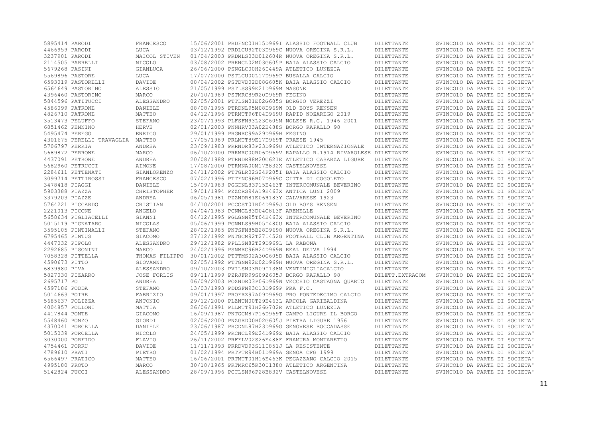| 5895414 PARODI            | FRANCESCO        |                                             | 15/06/2001 PRDFNC01H15D969I ALASSIO FOOTBALL CLUB                | DILETTANTE               | SVINCOLO DA PARTE DI SOCIETA'                                  |
|---------------------------|------------------|---------------------------------------------|------------------------------------------------------------------|--------------------------|----------------------------------------------------------------|
| 4466959 PARODI            | LUCA             |                                             | 03/12/1992 PRDLCU92T03D969C NUOVA OREGINA S.R.L.                 | DILETTANTE               | SVINCOLO DA PARTE DI SOCIETA'                                  |
| 3237901 PARODI            | MAICOL STIVEN    |                                             | 01/04/2003 PRDMLS03D01Z604R NUOVA OREGINA S.R.L.                 | DILETTANTE               | SVINCOLO DA PARTE DI SOCIETA'                                  |
| 2114505 PARRELLI          | NICOLO           |                                             | 03/08/2002 PRRNCL02M03G605P BAIA ALASSIO CALCIO                  | DILETTANTE               | SVINCOLO DA PARTE DI SOCIETA'                                  |
| 5679268 PASINI            | GIANLUCA         |                                             | 26/06/2000 PSNGLC00H26I449A ATLETICO LUNEZIA                     | DILETTANTE               | SVINCOLO DA PARTE DI SOCIETA'                                  |
| 5569896 PASTORE           | LUCA             | 17/07/2000 PSTLCU00L17D969P BUSALLA CALCIO  |                                                                  | DILETTANTE               | SVINCOLO DA PARTE DI SOCIETA'                                  |
| 6593019 PASTORELLI        | DAVIDE           |                                             | 08/04/2002 PSTDVD02D08G605K BAIA ALASSIO CALCIO                  | DILETTANTE               | SVINCOLO DA PARTE DI SOCIETA'                                  |
| 6564649 PASTORINO         | ALESSIO          | 21/05/1999 PSTLSS99E21D969M MASONE          |                                                                  | DILETTANTE               | SVINCOLO DA PARTE DI SOCIETA'                                  |
| 4396460 PASTORINO         | MARCO            | 20/10/1989 PSTMRC89R20D969R FEGINO          |                                                                  | DILETTANTE               | SVINCOLO DA PARTE DI SOCIETA'                                  |
| 5844596 PATITUCCI         | ALESSANDRO       | 02/05/2001 PTTLSN01E02G605S BORGIO VEREZZI  |                                                                  | DILETTANTE               | SVINCOLO DA PARTE DI SOCIETA'                                  |
| 4586099 PATRONE           | DANIELE          | 08/08/1995 PTRDNL95M08D969W OLD BOYS RENSEN |                                                                  | DILETTANTE               | SVINCOLO DA PARTE DI SOCIETA'                                  |
| 4826710 PATRONE           | MATTEO           |                                             | 04/12/1996 PTRMTT96T04D969U RAPID NOZAREGO 2019                  | DILETTANTE               | SVINCOLO DA PARTE DI SOCIETA'                                  |
| 3513473 PELUFFO           | STEFANO          |                                             | 23/07/1993 PLFSFN93L23G605M NOLESE R.G. 1946 2001                | DILETTANTE               | SVINCOLO DA PARTE DI SOCIETA'                                  |
| 6851462 PENNINO           | <b>HERVE</b>     |                                             | 02/01/2003 PNNHRV03A02E488S BORGO RAPALLO 98                     | DILETTANTE               | SVINCOLO DA PARTE DI SOCIETA'                                  |
| 5495474 PEREGO            |                  | 29/01/1999 PRGNRC99A29D969H FEGINO          |                                                                  |                          |                                                                |
| 4301675 PERELLI TRAVAGLIA | ENRICO<br>MATTEO | 17/05/1989 PRLMTT89E17D969T PRAESE 1945     |                                                                  | DILETTANTE<br>DILETTANTE | SVINCOLO DA PARTE DI SOCIETA'<br>SVINCOLO DA PARTE DI SOCIETA' |
|                           |                  |                                             |                                                                  |                          |                                                                |
| 5706797 PERRIA            | ANDREA           |                                             | 23/09/1983 PRRNDR83P23D969U ATLETICO INTERNAZIONALE              | DILETTANTE               | SVINCOLO DA PARTE DI SOCIETA'                                  |
| 5689872 PERRONE           | MARCO            |                                             | 06/10/2000 PRRMRC00R06D969V RAPALLO R.1914 RIVAROLESE DILETTANTE |                          | SVINCOLO DA PARTE DI SOCIETA'                                  |
| 4437091 PETRONE           | ANDREA           |                                             | 20/08/1988 PTRNDR88M20C621E ATLETICO CASARZA LIGURE              | DILETTANTE               | SVINCOLO DA PARTE DI SOCIETA'                                  |
| 5682960 PETRUCCI          | <b>AIMONE</b>    | 17/08/2000 PTRMNA00M17B832X CASTELNOVESE    |                                                                  | DILETTANTE               | SVINCOLO DA PARTE DI SOCIETA'                                  |
| 2284611 PETTENATI         | GIANLORENZO      |                                             | 24/11/2002 PTTGLR02S24F205I BAIA ALASSIO CALCIO                  | DILETTANTE               | SVINCOLO DA PARTE DI SOCIETA'                                  |
| 3099714 PETTIROSSI        | FRANCESCO        |                                             | 07/02/1996 PTTFNC96B07D969C CITTA DI COGOLETO                    | DILETTANTE               | SVINCOLO DA PARTE DI SOCIETA'                                  |
| 3478418 PIAGGI            | DANIELE          |                                             | 15/09/1983 PGGDNL83P15E463T INTERCOMUNALE BEVERINO               | DILETTANTE               | SVINCOLO DA PARTE DI SOCIETA'                                  |
| 5903388 PIAZZA            | CHRISTOPHER      |                                             | 19/01/1994 PZZCRS94A19E463X ANTICA LUNI 2009                     | DILETTANTE               | SVINCOLO DA PARTE DI SOCIETA'                                  |
| 3379203 PIAZZE            | ANDREA           | 06/05/1981 PZZNDR81E06H183Y CALVARESE 1923  |                                                                  | DILETTANTE               | SVINCOLO DA PARTE DI SOCIETA'                                  |
| 5764221 PICCARDO          | CRISTIAN         | 04/10/2001 PCCCST01R04D969J OLD BOYS RENSEN |                                                                  | DILETTANTE               | SVINCOLO DA PARTE DI SOCIETA'                                  |
| 2221013 PICONE            | ANGELO           | 04/04/1983 PCNNGL83D04G813F ARENELLE        |                                                                  | DILETTANTE               | SVINCOLO DA PARTE DI SOCIETA'                                  |
| 5658634 PIGLIACELLI       | GIANNI           |                                             | 04/12/1995 PGLGNN95T04E463X INTERCOMUNALE BEVERINO               | DILETTANTE               | SVINCOLO DA PARTE DI SOCIETA'                                  |
| 5015119 PIGNATARO         | NICOLAS          |                                             | 05/06/1999 PGNNLS99H05I480U BAIA ALASSIO CALCIO                  | DILETTANTE               | SVINCOLO DA PARTE DI SOCIETA'                                  |
| 3595105 PINTIMALLI        | STEFANO          |                                             | 28/02/1985 PNTSFN85B28D9690 NUOVA OREGINA S.R.L.                 | DILETTANTE               | SVINCOLO DA PARTE DI SOCIETA'                                  |
| 6795465 PINTUS            | GIACOMO          |                                             | 27/12/1992 PNTGCM92T27I452G FOOTBALL CLUB ARGENTINA              | DILETTANTE               | SVINCOLO DA PARTE DI SOCIETA'                                  |
| 4447032 PIPOLO            | ALESSANDRO       | 29/12/1982 PPLLSN82T29D969L LA RABONA       |                                                                  | DILETTANTE               | SVINCOLO DA PARTE DI SOCIETA'                                  |
| 2292685 PISONINI          | MARCO            | 24/02/1996 PSNMRC96B24D969W REAL DEIVA 1994 |                                                                  | DILETTANTE               | SVINCOLO DA PARTE DI SOCIETA'                                  |
| 7058328 PITTELLA          | THOMAS FILIPPO   |                                             | 30/01/2002 PTTTMS02A30G605D BAIA ALASSIO CALCIO                  | DILETTANTE               | SVINCOLO DA PARTE DI SOCIETA'                                  |
| 4590673 PITTO             | GIOVANNI         |                                             | 02/05/1992 PTTGNN92E02D969H NUOVA OREGINA S.R.L.                 | DILETTANTE               | SVINCOLO DA PARTE DI SOCIETA'                                  |
| 6839980 PIVA              | ALESSANDRO       |                                             | 09/10/2003 PVILSN03R09I138M VENTIMIGLIACALCIO                    | DILETTANTE               | SVINCOLO DA PARTE DI SOCIETA'                                  |
| 5827030 PIZARRO           | JOSE FORLIS      |                                             | 09/11/1999 PZRJFR99S09Z605J BORGO RAPALLO 98                     | DILETT. EXTRACOM         | SVINCOLO DA PARTE DI SOCIETA'                                  |
| 2695717 PO                | <b>ANDREA</b>    |                                             | 06/09/2003 POXNDR03P06D969W VECCHIO CASTAGNA OUARTO              | DILETTANTE               | SVINCOLO DA PARTE DI SOCIETA'                                  |
| 4597186 PODDA             | STEFANO          | 13/03/1993 PDDSFN93C13D969P PRA F.C.        |                                                                  | DILETTANTE               | SVINCOLO DA PARTE DI SOCIETA'                                  |
| 5014663 POIRE             | FABRIZIO         |                                             | 09/01/1997 PROFRZ97A09D9690 PRO PONTEDECIMO CALCIO               | DILETTANTE               | SVINCOLO DA PARTE DI SOCIETA'                                  |
| 5685637 POLIZZA           | ANTONIO          |                                             | 29/12/2000 PLZNTN00T29E463L ARCOLA GARIBALDINA                   | DILETTANTE               | SVINCOLO DA PARTE DI SOCIETA'                                  |
| 4004857 POLLONI           | MATTIA           |                                             | 26/06/1991 PLLMTT91H26G702R ATLETICO LUNEZIA                     | DILETTANTE               | SVINCOLO DA PARTE DI SOCIETA'                                  |
| 4417844 PONTE             | GIACOMO          |                                             | 16/09/1987 PNTGCM87P16D969T CAMPO LIGURE IL BORGO                | DILETTANTE               | SVINCOLO DA PARTE DI SOCIETA'                                  |
| 5548460 PONZO             | GIORDI           |                                             | 02/06/2000 PNZGRD00H02G605J PIETRA LIGURE 1956                   | DILETTANTE               | SVINCOLO DA PARTE DI SOCIETA'                                  |
| 4370041 PORCELLA          | DANIELE          |                                             | 23/06/1987 PRCDNL87H23D969G GENOVESE BOCCADASSE                  | DILETTANTE               | SVINCOLO DA PARTE DI SOCIETA'                                  |
| 5015039 PORCELLA          | NICOLO           |                                             | 24/05/1999 PRCNCL99E24D969Z BAIA ALASSIO CALCIO                  | DILETTANTE               | SVINCOLO DA PARTE DI SOCIETA'                                  |
| 3030000 PORFIDO           | FLAVIO           |                                             | 26/11/2002 PRFFLV02S26E488F FRAMURA MONTARETTO                   | DILETTANTE               | SVINCOLO DA PARTE DI SOCIETA'                                  |
|                           |                  |                                             |                                                                  |                          |                                                                |
| 4754461 PORRU             | DAVIDE           | 11/11/1993 PRRDVD93S11I851J LA RESISTENTE   |                                                                  | DILETTANTE               | SVINCOLO DA PARTE DI SOCIETA'                                  |
| 4789610 PRATI             | PIETRO           | 01/02/1994 PRTPTR94B01D969A GENOA CFG 1999  |                                                                  | DILETTANTE               | SVINCOLO DA PARTE DI SOCIETA'                                  |
| 6566497 PRATICO           | MATTEO           |                                             | 16/06/2001 PRTMTT01H16E463K PEGAZZANO CALCIO 2015                | DILETTANTE               | SVINCOLO DA PARTE DI SOCIETA'                                  |
| 4995180 PROTO             | MARCO            |                                             | 30/10/1965 PRTMRC65R30I1380 ATLETICO ARGENTINA                   | DILETTANTE               | SVINCOLO DA PARTE DI SOCIETA'                                  |
| 5142824 PUCCI             | ALESSANDRO       | 28/09/1996 PCCLSN96P28B832V CASTELNOVESE    |                                                                  | DILETTANTE               | SVINCOLO DA PARTE DI SOCIETA'                                  |
|                           |                  |                                             |                                                                  |                          |                                                                |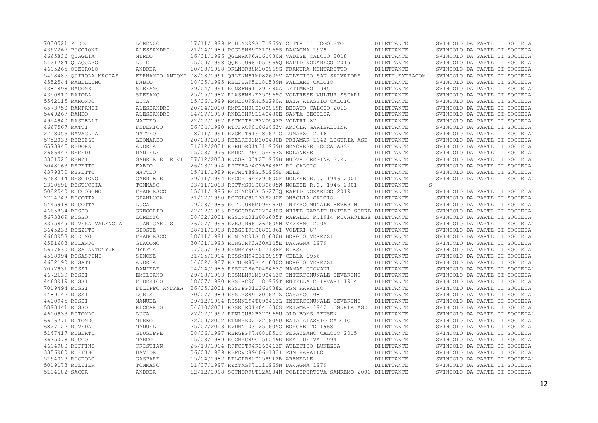| 7030521 PUDDU                              | <b>LORENZO</b>               |                                                        | 17/11/1999 PDDLNZ99S17D969Y CITTA DI COGOLETO                      | DILETTANTE       | SVINCOLO DA PARTE DI SOCIETA' |
|--------------------------------------------|------------------------------|--------------------------------------------------------|--------------------------------------------------------------------|------------------|-------------------------------|
| 4397267 PUGGIONI                           | ALESSANDRO                   | 21/04/1989 PGGLSN89D21D969S DAVAGNA 1979               |                                                                    | DILETTANTE       | SVINCOLO DA PARTE DI SOCIETA' |
| 4665836 OUAGLIA                            | MIRKO                        |                                                        | 16/01/1996 OGLMRK96A16I480M VADESE CALCIO 2018                     | DILETTANTE       | SVINCOLO DA PARTE DI SOCIETA' |
| 5121784 QUAQUARO                           | LUIGI                        |                                                        | 05/09/1998 QQRLGU98P05D969Q RAPID NOZAREGO 2019                    | DILETTANTE       | SVINCOLO DA PARTE DI SOCIETA' |
| 4695265 OUEIROLO                           | ANDREA                       |                                                        | 10/08/1988 ORLNDR88M10D969G FRAMURA MONTARETTO                     | DILETTANTE       | SVINCOLO DA PARTE DI SOCIETA' |
| 5418485 OUIROLA MACIAS                     |                              |                                                        | FERNANDO ANTONI 08/08/1991 ORLFNN91M08Z605V ATLETICO SAN SALVATORE | DILETT. EXTRACOM | SVINCOLO DA PARTE DI SOCIETA' |
| 4552544 RABELLINO                          | FABIO                        | 18/05/1995 RBLFBA95E18C589N PALLARE CALCIO             |                                                                    | DILETTANTE       | SVINCOLO DA PARTE DI SOCIETA' |
| 4384898 RAGONE                             | STEFANO                      | 29/04/1991 RGNSFN91D29I480A LETIMBRO 1945              |                                                                    | DILETTANTE       | SVINCOLO DA PARTE DI SOCIETA' |
| 4350810 RAIOLA                             | STEFANO                      |                                                        | 25/05/1987 RLASFN87E25D969J VOLTRESE VULTUR SSDARL                 | DILETTANTE       | SVINCOLO DA PARTE DI SOCIETA' |
| 5542115 RAMONDO                            | LUCA                         |                                                        | 15/06/1999 RMNLCU99H15E290A BAIA ALASSIO CALCIO                    | DILETTANTE       | SVINCOLO DA PARTE DI SOCIETA' |
| 6573750 RAMPANTI                           | ALESSANDRO                   |                                                        | 20/04/2000 RMPLSN00D20D969R BEGATO CALCIO 2013                     | DILETTANTE       | SVINCOLO DA PARTE DI SOCIETA' |
| 5449267 RANDO                              | ALESSANDRO                   | 14/07/1999 RNDLSN99L14I480E SANTA CECILIA              |                                                                    | DILETTANTE       | SVINCOLO DA PARTE DI SOCIETA' |
| 4954940 RASTELLI                           | MATTEO                       | 22/02/1997 RSTMTT97B22D542P VOLTRI 87                  |                                                                    | DILETTANTE       | SVINCOLO DA PARTE DI SOCIETA' |
| 4667567 RATTI                              | FEDERICO                     |                                                        | 06/04/1990 RTTFRC90D06E463V ARCOLA GARIBALDINA                     | DILETTANTE       | SVINCOLO DA PARTE DI SOCIETA' |
| 2718053 RAVAGLIA                           | MATTEO                       | 18/11/1991 RVGMTT91S18C621G LUMARZO 2016               |                                                                    | DILETTANTE       | SVINCOLO DA PARTE DI SOCIETA' |
| 5752033 REBIZZO                            | LEONARDO                     |                                                        | 20/08/2003 RBZLRD03M20I480B PRIAMAR 1942 LIGURIA ASD DILETTANTE    |                  | SVINCOLO DA PARTE DI SOCIETA' |
| 6573845 REBORA                             | ANDREA                       |                                                        | 31/12/2001 RBRNDR01T31D969U GENOVESE BOCCADASSE                    | DILETTANTE       | SVINCOLO DA PARTE DI SOCIETA' |
| 2666442 REMEDI                             | DANIELE                      | 15/03/1976 RMDDNL76C15E463Z BOLANESE                   |                                                                    | DILETTANTE       | SVINCOLO DA PARTE DI SOCIETA' |
| 3301526 RENZI                              |                              |                                                        | GABRIELE DEIVI 27/12/2003 RNZGRL03T27D969B NUOVA OREGINA S.R.L.    | DILETTANTE       | SVINCOLO DA PARTE DI SOCIETA' |
| 3048163 REPETTO                            | FABIO                        | 26/03/1974 RPTFBA74C26E488V RI CALCIO                  |                                                                    | DILETTANTE       | SVINCOLO DA PARTE DI SOCIETA' |
| 4379370 REPETTO                            | MATTEO                       | 15/11/1989 RPTMTT89S15D969F MELE                       |                                                                    | DILETTANTE       | SVINCOLO DA PARTE DI SOCIETA' |
| 6763114 RESCIGNO                           | GABRIELE                     |                                                        | 29/11/1994 RSCGRL94S29D600F NOLESE R.G. 1946 2001                  | DILETTANTE       | SVINCOLO DA PARTE DI SOCIETA' |
| 2300591 RESTUCCIA                          | TOMMASO                      |                                                        | 03/11/2003 RSTTMS03S03G605W NOLESE R.G. 1946 2001                  | DILETTANTE       | $S =$                         |
| 5082540 RICCOBONO                          | FRANCESCO                    |                                                        | 15/11/1996 RCCFNC96S15G2730 RAPID NOZAREGO 2019                    | DILETTANTE       | SVINCOLO DA PARTE DI SOCIETA' |
| 2714749 RICOTTA                            | GIANLUCA                     | 31/07/1990 RCTGLC90L31E290F ONEGLIA CALCIO             |                                                                    | DILETTANTE       | SVINCOLO DA PARTE DI SOCIETA' |
| 5445918 RICOTTA                            | LUCA                         |                                                        | 09/08/1986 RCTLCU86M09E463U INTERCOMUNALE BEVERINO                 | DILETTANTE       | SVINCOLO DA PARTE DI SOCIETA' |
| 4665834 RISSO                              | GREGORIO                     |                                                        | 22/02/1996 RSSGGR96B22I480G WHITE RABBIT UNITED SSDRL DILETTANTE   |                  | SVINCOLO DA PARTE DI SOCIETA' |
|                                            |                              |                                                        |                                                                    |                  |                               |
| 5673369 RISSO                              | <b>LORENZO</b>               |                                                        | 08/02/2001 RSSLNZ01B08G605T RAPALLO R.1914 RIVAROLESE DILETTANTE   |                  | SVINCOLO DA PARTE DI SOCIETA' |
| 3375849 RIVERA VALENCIA<br>3645238 RIZZUTO | <b>JUAN CARLOS</b><br>GIOSUE | 26/07/1996 RVRJCR96L26Z605N VEZZANO 2005               |                                                                    | DILETTANTE       | SVINCOLO DA PARTE DI SOCIETA' |
|                                            |                              | 08/11/1993 RZZGSI93S08D086I VOLTRI 87                  |                                                                    | DILETTANTE       | SVINCOLO DA PARTE DI SOCIETA' |
| 4668958 RODINO                             | FRANCESCO                    | 18/11/1991 RDNFNC91S18D600B BORGIO VEREZZI             |                                                                    | DILETTANTE       | SVINCOLO DA PARTE DI SOCIETA' |
| 4581603 ROLANDO                            | GIACOMO                      | 30/01/1993 RLNGCM93A30A145E DAVAGNA 1979               |                                                                    | DILETTANTE       | SVINCOLO DA PARTE DI SOCIETA' |
| 5677630 ROSA ANTONYUK                      | MYKYTA                       | 07/05/1999 RSNMKY99E07Z138F RIESE                      |                                                                    | DILETTANTE       | SVINCOLO DA PARTE DI SOCIETA' |
| 4598094 ROSASPINI                          | SIMONE                       | 31/05/1994 RSSSMN94E31D969T CELLA 1956                 |                                                                    | DILETTANTE       | SVINCOLO DA PARTE DI SOCIETA' |
| 4632190 ROSATI                             | ANDREA                       | 14/02/1987 RSTNDR87B14D600C BORGIO VEREZZI             |                                                                    | DILETTANTE       | SVINCOLO DA PARTE DI SOCIETA' |
| 7077931 ROSSI                              | DANIELE                      | 04/04/1986 RSSDNL86D04E463J MAMAS GIOVANI              |                                                                    | DILETTANTE       | SVINCOLO DA PARTE DI SOCIETA' |
| 4672639 ROSSI                              | EMILIANO                     |                                                        | 29/08/1993 RSSMLN93M29E463C INTERCOMUNALE BEVERINO                 | DILETTANTE       | SVINCOLO DA PARTE DI SOCIETA' |
| 4468919 ROSSI                              | FEDERICO                     |                                                        | 18/07/1990 RSSFRC90L18D969T ENTELLA CHIAVARI 1914                  | DILETTANTE       | SVINCOLO DA PARTE DI SOCIETA' |
| 7019494 ROSSI                              |                              | FILIPPO ANDREA 26/05/2001 RSSFPP01E26E488Z PSM RAPALLO |                                                                    | DILETTANTE       | SVINCOLO DA PARTE DI SOCIETA' |
| 4489142 ROSSI                              | LORIS                        | 20/07/1989 RSSLRS89L20C621Z CARASCO 08                 |                                                                    | DILETTANTE       | SVINCOLO DA PARTE DI SOCIETA' |
| 4410945 ROSSI                              | MANUEL                       |                                                        | 09/12/1994 RSSMNL94T09E463L INTERCOMUNALE BEVERINO                 | DILETTANTE       | SVINCOLO DA PARTE DI SOCIETA' |
| 5893441 ROSSO                              | RICCARDO                     |                                                        | 04/10/2001 RSSRCR01R04I480S PRIAMAR 1942 LIGURIA ASD               | DILETTANTE       | SVINCOLO DA PARTE DI SOCIETA' |
| 4600933 ROTONDO                            | LUCA                         | 27/02/1992 RTNLCU92B27D969U OLD BOYS RENSEN            |                                                                    | DILETTANTE       | SVINCOLO DA PARTE DI SOCIETA' |
| 6616771 ROTONDO                            | MIRKO                        |                                                        | 22/09/2002 RTNMRK02P22G605U BAIA ALASSIO CALCIO                    | DILETTANTE       | SVINCOLO DA PARTE DI SOCIETA' |
| 6827122 ROVEDA                             | MANUEL                       | 25/07/2003 RVDMNL03L25G605G BORGHETTO 1968             |                                                                    | DILETTANTE       | SVINCOLO DA PARTE DI SOCIETA' |
| 5147417 RUBERTI                            | GIUSEPPE                     |                                                        | 08/06/1997 RBRGPP97H08D851C PEGAZZANO CALCIO 2015                  | DILETTANTE       | SVINCOLO DA PARTE DI SOCIETA' |
| 3635078 RUCCO                              | MARCO                        | 15/03/1989 RCCMRC89C15L049R REAL DEIVA 1994            |                                                                    | DILETTANTE       | SVINCOLO DA PARTE DI SOCIETA' |
| 4694980 RUFFINI                            | CRISTIAN                     |                                                        | 26/10/1994 RFFCST94R26E463F ATLETICO LUNEZIA                       | DILETTANTE       | SVINCOLO DA PARTE DI SOCIETA' |
| 3356980 RUFFINO                            | DAVIDE                       | 06/03/1989 RFFDVD89C06H183I PSM RAPALLO                |                                                                    | DILETTANTE       | SVINCOLO DA PARTE DI SOCIETA' |
| 5194029 RUOTOLO                            | GASPARE                      | 15/04/1982 RTLGPR82D15F912B ARENELLE                   |                                                                    | DILETTANTE       | SVINCOLO DA PARTE DI SOCIETA' |
| 5019173 RUZZIER                            | TOMMASO                      | 11/07/1997 RZZTMS97L11D969N DAVAGNA 1979               |                                                                    | DILETTANTE       | SVINCOLO DA PARTE DI SOCIETA' |
| 5114182 SACCA                              | ANDREA                       |                                                        | 12/12/1998 SCCNDR98T12A984N POLISPORTIVA SANREMO 2000 DILETTANTE   |                  | SVINCOLO DA PARTE DI SOCIETA' |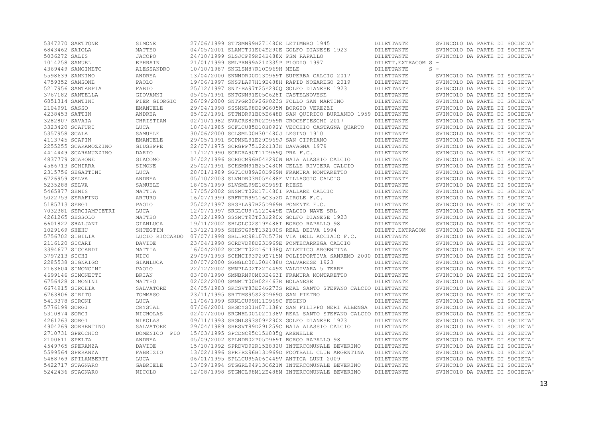| 5347270 SAETTONE                     | SIMONE               | 27/06/1999 STTSMN99H27I480E LETIMBRO 1945          |                                                                                                          | DILETTANTE                     | SVINCOLO DA PARTE DI SOCIETA'                                  |
|--------------------------------------|----------------------|----------------------------------------------------|----------------------------------------------------------------------------------------------------------|--------------------------------|----------------------------------------------------------------|
| 6843462 SAIOLA                       | MATTEO               |                                                    | 04/05/2001 SLAMTT01E04E290E GOLFO DIANESE 1923                                                           | DILETTANTE                     | SVINCOLO DA PARTE DI SOCIETA'                                  |
| 5036272 SALIS                        | JACOPO               | 24/10/1999 SLSJCP99R24E488X PSM RAPALLO            |                                                                                                          | DILETTANTE                     | SVINCOLO DA PARTE DI SOCIETA'                                  |
| 1014258 SAMUEL                       | EPHRAIN              | 21/01/1999 SMLPRN99A21Z335P PLODIO 1997            |                                                                                                          | DILETT. EXTRACOM S -           |                                                                |
| 4369449 SANGINETO                    | ALESSANDRO           | 10/10/1987 SNGLSN87R10D969H MELE                   |                                                                                                          | DILETTANTE                     | $S -$                                                          |
| 5598639 SANNINO                      | ANDREA               |                                                    | 13/04/2000 SNNNDR00D13D969T SUPERBA CALCIO 2017                                                          | DILETTANTE                     | SVINCOLO DA PARTE DI SOCIETA'                                  |
| 4759352 SANSONE                      | PAOLO                |                                                    | 19/06/1997 SNSPLA97H19E488H RAPID NOZAREGO 2019                                                          | DILETTANTE                     | SVINCOLO DA PARTE DI SOCIETA'                                  |
| 5217956 SANTARPIA                    | FABIO                |                                                    | 25/12/1997 SNTFBA97T25E2900 GOLFO DIANESE 1923                                                           | DILETTANTE                     | SVINCOLO DA PARTE DI SOCIETA'                                  |
| 3767182 SANTELLA                     | GIOVANNI             | 05/05/1991 SNTGNN91E05G628I CASTELNOVESE           |                                                                                                          | DILETTANTE                     | SVINCOLO DA PARTE DI SOCIETA'                                  |
| 6851314 SANTINI                      | PIER GIORGIO         |                                                    | 26/09/2000 SNTPGR00P26F023S FOLLO SAN MARTINO                                                            | DILETTANTE                     | SVINCOLO DA PARTE DI SOCIETA'                                  |
| 2104991 SASSO                        | <b>EMANUELE</b>      | 29/04/1998 SSSMNL98D29G605W BORGIO VEREZZI         |                                                                                                          | DILETTANTE                     | SVINCOLO DA PARTE DI SOCIETA'                                  |
| 4238453 SATTIN                       | ANDREA               |                                                    | 05/02/1991 STTNDR91B05E648D SAN OUIRICO BURLANDO 1959 DILETTANTE                                         |                                | SVINCOLO DA PARTE DI SOCIETA'                                  |
| 3282807 SAVAIA                       | CHRISTIAN            |                                                    | 02/10/1982 SVACRS82R02D969R CROCEFIESCHI 2017                                                            | DILETTANTE                     | SVINCOLO DA PARTE DI SOCIETA'                                  |
| 3323420 SCAFURI                      | LUCA                 |                                                    | 18/04/1985 SCFLCU85D18H892Y VECCHIO CASTAGNA OUARTO                                                      | DILETTANTE                     | SVINCOLO DA PARTE DI SOCIETA'                                  |
| 5357958 SCALA                        | SAMUELE              | 30/06/2000 SCLSML00H30I480J LEGINO 1910            |                                                                                                          | DILETTANTE                     | SVINCOLO DA PARTE DI SOCIETA'                                  |
| 4113745 SCAPIN                       | <b>EMANUELE</b>      | 29/05/1991 SCPMNL91E29D969J SAN CIPRIANO           |                                                                                                          | DILETTANTE                     | SVINCOLO DA PARTE DI SOCIETA'                                  |
| 2255255 SCARAMOZZINO                 | GIUSEPPE             | 22/07/1975 SCRGPP75L22Z133K DAVAGNA 1979           |                                                                                                          | DILETTANTE                     | SVINCOLO DA PARTE DI SOCIETA'                                  |
| 4414449 SCARAMUZZINO                 | DARIO                | 11/12/1990 SCRDRA90T11D969Q PRA F.C.               |                                                                                                          | DILETTANTE                     | SVINCOLO DA PARTE DI SOCIETA'                                  |
| 4837779 SCARONE                      | GIACOMO              |                                                    | 04/02/1996 SCRGCM96B04E290W BAIA ALASSIO CALCIO                                                          | DILETTANTE                     | SVINCOLO DA PARTE DI SOCIETA'                                  |
| 4586713 SCHIRRA                      | SIMONE               |                                                    | 25/02/1991 SCHSMN91B25I480N CELLE RIVIERA CALCIO                                                         | DILETTANTE                     | SVINCOLO DA PARTE DI SOCIETA'                                  |
| 2315756 SEGATTINI                    | LUCA                 |                                                    | 28/01/1989 SGTLCU89A28D969N FRAMURA MONTARETTO                                                           | DILETTANTE                     | SVINCOLO DA PARTE DI SOCIETA'                                  |
| 6726959 SELVA                        | ANDREA               |                                                    | 05/10/2003 SLVNDR03R05E488F VILLAGGIO CALCIO                                                             | DILETTANTE                     | SVINCOLO DA PARTE DI SOCIETA'                                  |
| 5235288 SELVA                        | SAMUELE              | 18/05/1999 SLVSML99E18D969I RIESE                  |                                                                                                          | DILETTANTE                     | SVINCOLO DA PARTE DI SOCIETA'                                  |
| 5465877 SENIS                        | MATTIA               | 17/05/2002 SNSMTT02E17I480I PALLARE CALCIO         |                                                                                                          | DILETTANTE                     | SVINCOLO DA PARTE DI SOCIETA'                                  |
| 5022753 SERAFINO                     | ARTURO               | 16/07/1999 SRFRTR99L16C352D AIROLE F.C.            |                                                                                                          | DILETTANTE                     | SVINCOLO DA PARTE DI SOCIETA'                                  |
| 5185713 SERGI                        | PAOLO                | 25/02/1997 SRGPLA97B25D969B PONENTE F.C.           |                                                                                                          | DILETTANTE                     | SVINCOLO DA PARTE DI SOCIETA'                                  |
| 7032381 SERGIAMPIETRI                | LUCA                 | 12/07/1997 SRGLCU97L12I449E CALCIO NAVE SRL        |                                                                                                          | DILETTANTE                     | SVINCOLO DA PARTE DI SOCIETA'                                  |
| 4261265 SESSOLO                      | MATTEO               |                                                    | 23/12/1993 SSSMTT93T23E290X GOLFO DIANESE 1923                                                           | DILETTANTE                     | SVINCOLO DA PARTE DI SOCIETA'                                  |
| 6601822 SHALJANI                     |                      | 19/11/2002 SHLGLC02S19E488I BORGO RAPALLO 98       |                                                                                                          |                                | SVINCOLO DA PARTE DI SOCIETA'                                  |
| 1029169 SHEHU                        | GIANLUCA<br>SHTEGTIM | 13/12/1995 SHHSTG95T13Z100S REAL DEIVA 1994        |                                                                                                          | DILETTANTE                     | SVINCOLO DA PARTE DI SOCIETA'                                  |
| 5756702 SIBILIA                      |                      |                                                    |                                                                                                          | DILETT. EXTRACOM<br>DILETTANTE | SVINCOLO DA PARTE DI SOCIETA'                                  |
|                                      | LUCIO RICCARDO       |                                                    | 07/07/1998 SBLLRC98L07C573N VIA DELL ACCIAIO F.C.                                                        |                                |                                                                |
| 2116120 SICARI                       | DAVIDE               |                                                    | 23/04/1998 SCRDVD98D23D969E PONTECARREGA CALCIO                                                          | DILETTANTE                     | SVINCOLO DA PARTE DI SOCIETA'                                  |
| 3394677 SICCARDI                     | MATTIA               |                                                    | 16/04/2002 SCCMTT02D16I1380 ATLETICO ARGENTINA                                                           | DILETTANTE                     | SVINCOLO DA PARTE DI SOCIETA'                                  |
| 3797213 SICHI                        | NICO                 |                                                    | 29/09/1993 SCHNCI93P29E715M POLISPORTIVA SANREMO 2000 DILETTANTE                                         |                                | SVINCOLO DA PARTE DI SOCIETA'                                  |
| 2285538 SIGNAIGO                     | GIANLUCA             | 20/07/2000 SGNGLC00L20E488U CALVARESE 1923         |                                                                                                          | DILETTANTE                     | SVINCOLO DA PARTE DI SOCIETA'                                  |
| 2163604 SIMONCINI                    | PAOLO                |                                                    | 22/12/2002 SMNPLA02T22I449Z VALDIVARA 5 TERRE                                                            | DILETTANTE                     | SVINCOLO DA PARTE DI SOCIETA'                                  |
| 4699146 SIMONETTI                    | BRIAN                |                                                    | 03/08/1990 SMNBRN90M03E463I FRAMURA MONTARETTO                                                           | DILETTANTE                     | SVINCOLO DA PARTE DI SOCIETA'                                  |
| 6756428 SIMONINI                     | MATTEO               | 02/02/2000 SMNMTT00B02E463R BOLANESE               |                                                                                                          | DILETTANTE                     | SVINCOLO DA PARTE DI SOCIETA'                                  |
| 6674915 SIRCHIA                      | SALVATORE            |                                                    | 24/05/1983 SRCSVT83E24G273S REAL SANTO STEFANO CALCIO DILETTANTE                                         |                                | SVINCOLO DA PARTE DI SOCIETA'                                  |
| 6763806 SIRITO                       | TOMMASO              | 23/11/1995 SRTTMS95S23D9690 SAN PIETRO             |                                                                                                          | DILETTANTE                     | SVINCOLO DA PARTE DI SOCIETA'                                  |
| 5413378 SIRONI                       | LUCA                 | 11/06/1999 SRNLCU99H11D969C FEGINO                 |                                                                                                          | DILETTANTE                     | SVINCOLO DA PARTE DI SOCIETA'                                  |
| 5776199 SORGI                        | CRYSTAL              |                                                    | 07/06/2001 SRGCYS01H07I138Y SAN FILIPPO NERI ALBENGA DILETTANTE                                          |                                | SVINCOLO DA PARTE DI SOCIETA'                                  |
| 5310874 SORGI                        | NICHOLAS             |                                                    | 02/07/2000 SRGNHL00L02I138V REAL SANTO STEFANO CALCIO DILETTANTE                                         |                                | SVINCOLO DA PARTE DI SOCIETA'                                  |
| 4261263 SORGI                        | NIKOLAS              |                                                    | 09/11/1993 SRGNLS93S09E290Z GOLFO DIANESE 1923                                                           | DILETTANTE                     | SVINCOLO DA PARTE DI SOCIETA'                                  |
| 4904269 SORRENTINO                   | SALVATORE            |                                                    | 29/04/1989 SRRSVT89D29L259C BAIA ALASSIO CALCIO                                                          | DILETTANTE                     | SVINCOLO DA PARTE DI SOCIETA'                                  |
| 2710731 SPECCHIO                     | DOMENICO PIO         | 15/03/1995 SPCDNC95C15E8850 ARENELLE               |                                                                                                          | DILETTANTE                     | SVINCOLO DA PARTE DI SOCIETA'                                  |
| 2100611 SPELTA                       | ANDREA               | 05/09/2002 SPLNDR02P05D969I BORGO RAPALLO 98       |                                                                                                          | DILETTANTE                     | SVINCOLO DA PARTE DI SOCIETA'                                  |
| 4549765 SPERANZA                     |                      |                                                    |                                                                                                          | DILETTANTE                     | SVINCOLO DA PARTE DI SOCIETA'                                  |
|                                      | DAVIDE               | 15/10/1992 SPRDVD92R15B832U INTERCOMUNALE BEVERINO |                                                                                                          |                                |                                                                |
| 5599564 SPERANZA                     | FABRIZIO             |                                                    | 13/02/1996 SPRFRZ96B13D969D FOOTBALL CLUB ARGENTINA                                                      | DILETTANTE                     | SVINCOLO DA PARTE DI SOCIETA'                                  |
| 5488769 SPILAMBERTI                  | LUCA                 | 06/01/1995 SPLLCU95A06I449V ANTICA LUNI 2009       |                                                                                                          | <b>DILETTANTE</b>              | SVINCOLO DA PARTE DI SOCIETA'                                  |
| 5422717 STAGNARO<br>5242436 STAGNARO | GABRIELE<br>NICOLO   |                                                    | 13/09/1994 STGGRL94P13C621W INTERCOMUNALE BEVERINO<br>12/08/1998 STGNCL98M12E488M INTERCOMUNALE BEVERINO | DILETTANTE<br>DILETTANTE       | SVINCOLO DA PARTE DI SOCIETA'<br>SVINCOLO DA PARTE DI SOCIETA' |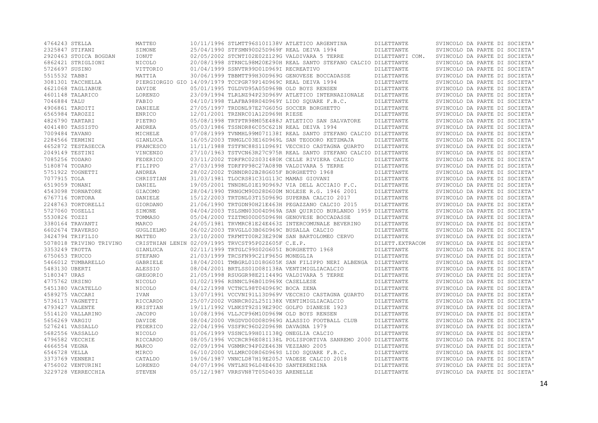| 4764243 STELLA          | MATTEO             |                                                             | 10/11/1996 STLMTT96S10I138V ATLETICO ARGENTINA                   | DILETTANTE               | SVINCOLO DA PARTE DI SOCIETA' |
|-------------------------|--------------------|-------------------------------------------------------------|------------------------------------------------------------------|--------------------------|-------------------------------|
| 2325847 STIFANI         | SIMONE             | 25/04/1990 STFSMN90D25D969F REAL DEIVA 1994                 |                                                                  | DILETTANTE               | SVINCOLO DA PARTE DI SOCIETA' |
| 2920463 STOICA BOGDAN   | IONUT              |                                                             | 02/05/2002 STCNTI02E02Z129G VALDIVARA 5 TERRE                    | DILETTANTI COM.          | SVINCOLO DA PARTE DI SOCIETA' |
| 6862421 STRIGLIONI      | NICOLO             |                                                             | 20/08/1998 STRNCL98M20E290H REAL SANTO STEFANO CALCIO DILETTANTE |                          | SVINCOLO DA PARTE DI SOCIETA' |
| 5726697 SUSINO          | VITTORIO           | 01/04/1999 SSNVTR99D01D969I RECREATIVO                      |                                                                  | DILETTANTE               | SVINCOLO DA PARTE DI SOCIETA' |
| 5515532 TABBI           | MATTIA             |                                                             | 30/06/1999 TBBMTT99H30D969G GENOVESE BOCCADASSE                  | DILETTANTE               | SVINCOLO DA PARTE DI SOCIETA' |
| 3081301 TACCHELLA       |                    | PIERGIORGIO GIO 14/09/1979 TCCPGR79P14D969C REAL DEIVA 1994 |                                                                  | DILETTANTE               | SVINCOLO DA PARTE DI SOCIETA' |
| 4621068 TAGLIABUE       | DAVIDE             | 05/01/1995 TGLDVD95A05D969B OLD BOYS RENSEN                 |                                                                  | DILETTANTE               | SVINCOLO DA PARTE DI SOCIETA' |
| 4601148 TALARICO        | <b>LORENZO</b>     |                                                             | 23/09/1994 TLRLNZ94P23D969V ATLETICO INTERNAZIONALE              | DILETTANTE               | SVINCOLO DA PARTE DI SOCIETA' |
| 7046884 TALU            | FABIO              |                                                             | 04/10/1998 TLAFBA98R04D969Y LIDO SOUARE F.B.C.                   | DILETTANTE               | SVINCOLO DA PARTE DI SOCIETA' |
| 4906861 TARDITI         | DANIELE            |                                                             | 27/05/1997 TRDDNL97E27G605G SOCCER BORGHETTO                     | DILETTANTE               | SVINCOLO DA PARTE DI SOCIETA' |
| 6565984 TAROZZI         | ENRICO             | 12/01/2001 TRZNRC01A12D969H RIESE                           |                                                                  | DILETTANTE               | SVINCOLO DA PARTE DI SOCIETA' |
| 4826790 TARTARI         | PIETRO             |                                                             | 05/08/1998 TRTPTR98M05E488J ATLETICO SAN SALVATORE               | DILETTANTE               | SVINCOLO DA PARTE DI SOCIETA' |
| 4041480 TASSISTO        | ANDREA             | 05/03/1986 TSSNDR86C05C621N REAL DEIVA 1994                 |                                                                  | DILETTANTE               | SVINCOLO DA PARTE DI SOCIETA' |
| 7009484 TAVANO          | MICHELE            |                                                             | 07/08/1999 TVNMHL99M07I138I REAL SANTO STEFANO CALCIO DILETTANTE |                          | SVINCOLO DA PARTE DI SOCIETA' |
| 2284566 TERMINI         | GIANLUCA           |                                                             | 16/05/2003 TRMGLC03E16D969L SAN TEODORO KETZMAJA                 | DILETTANTE               | SVINCOLO DA PARTE DI SOCIETA' |
| 4652872 TESTASECCA      | FRANCESCO          |                                                             | 11/11/1988 TSTFNC88S11D969I VECCHIO CASTAGNA OUARTO              | DILETTANTE               | SVINCOLO DA PARTE DI SOCIETA' |
| 2049149 TESTINI         | <b>VINCENZO</b>    |                                                             | 27/10/1963 TSTVCN63R27C975R REAL SANTO STEFANO CALCIO DILETTANTE |                          | SVINCOLO DA PARTE DI SOCIETA' |
| 7085256 TODARO          | FEDERICO           |                                                             | 03/11/2002 TDRFRC02S03I480K CELLE RIVIERA CALCIO                 | DILETTANTE               | SVINCOLO DA PARTE DI SOCIETA' |
| 5180874 TODARO          | FILIPPO            |                                                             | 27/03/1998 TDRFPP98C27A089B VALDIVARA 5 TERRE                    | DILETTANTE               | SVINCOLO DA PARTE DI SOCIETA' |
| 5751922 TOGNETTI        | ANDREA             | 28/02/2002 TGNNDR02B28G605F BORGHETTO 1968                  |                                                                  | DILETTANTE               | SVINCOLO DA PARTE DI SOCIETA' |
| 7077915 TOLA            | CHRISTIAN          | 31/03/1981 TLOCRS81C31G113C MAMAS GIOVANI                   |                                                                  | DILETTANTE               | SVINCOLO DA PARTE DI SOCIETA' |
| 6519059 TONANI          | DANIEL             |                                                             | 19/05/2001 TNNDNL01E19D969J VIA DELL ACCIAIO F.C.                | DILETTANTE               | SVINCOLO DA PARTE DI SOCIETA' |
| 4543098 TORNATORE       | GIACOMO            |                                                             | 28/04/1990 TRNGCM90D28D600M NOLESE R.G. 1946 2001                | DILETTANTE               | SVINCOLO DA PARTE DI SOCIETA' |
| 6767716 TORTORA         | DANIELE            |                                                             | 15/12/2003 TRTDNL03T15D969G SUPERBA CALCIO 2017                  | DILETTANTE               | SVINCOLO DA PARTE DI SOCIETA' |
| 2248763 TORTORELLI      | GIORDANO           |                                                             | 21/06/1990 TRTGDN90H21E463H PEGAZZANO CALCIO 2015                | DILETTANTE               | SVINCOLO DA PARTE DI SOCIETA' |
| 5727060 TOSELLI         | SIMONE             |                                                             | 04/04/2003 TSLSMN03D04D969A SAN OUIRICO BURLANDO 1959 DILETTANTE |                          | SVINCOLO DA PARTE DI SOCIETA' |
| 5530826 TOZZI           | TOMMASO            |                                                             | 05/04/2000 TZZTMS00D05D969H GENOVESE BOCCADASSE                  | DILETTANTE               | SVINCOLO DA PARTE DI SOCIETA' |
| 3380164 TRAVANTI        | MARCO              |                                                             | 24/05/1981 TRVMRC81E24E463Z INTERCOMUNALE BEVERINO               | DILETTANTE               | SVINCOLO DA PARTE DI SOCIETA' |
| 6602674 TRAVERSO        | GUGLIELMO          | 06/02/2003 TRVGLL03B06D969C BUSALLA CALCIO                  |                                                                  | DILETTANTE               | SVINCOLO DA PARTE DI SOCIETA' |
| 3424794 TRIFILIO        | MATTEO             |                                                             | 23/10/2000 TRFMTT00R23E290W SAN BARTOLOMEO CERVO                 | DILETTANTE               | SVINCOLO DA PARTE DI SOCIETA' |
| 5078018 TRIVINO TRIVINO |                    | CRISTHIAN LENIN 02/09/1995 TRVCST95P02Z605F C.E.P.          |                                                                  | DILETT. EXTRACOM         | SVINCOLO DA PARTE DI SOCIETA' |
| 3353249 TROTTA          | GIANLUCA           | 02/11/1999 TRTGLC99S02G605I BORGHETTO 1968                  |                                                                  | DILETTANTE               | SVINCOLO DA PARTE DI SOCIETA' |
| 6750653 TRUCCO          | STEFANO            | 21/03/1999 TRCSFN99C21F965G MONEGLIA                        |                                                                  | DILETTANTE               | SVINCOLO DA PARTE DI SOCIETA' |
| 5466012 TUMBARELLO      | GABRIELE           |                                                             | 18/04/2001 TMBGRL01D18G605K SAN FILIPPO NERI ALBENGA DILETTANTE  |                          | SVINCOLO DA PARTE DI SOCIETA' |
| 5483130 UBERTI          | ALESSIO            |                                                             | 08/04/2001 BRTLSS01D08I138A VENTIMIGLIACALCIO                    | DILETTANTE               | SVINCOLO DA PARTE DI SOCIETA' |
| 5180347 URAS            | GREGORIO           |                                                             | 21/05/1998 RSUGGR98E21I449G VALDIVARA 5 TERRE                    | DILETTANTE               | SVINCOLO DA PARTE DI SOCIETA' |
| 4775762 URSINO          | NICOLO             | 01/02/1996 RSNNCL96B01D969X CASELLESE                       |                                                                  | DILETTANTE               | SVINCOLO DA PARTE DI SOCIETA' |
| 5451380 VACATELLO       | NICOLO             | 04/12/1998 VCTNCL98T04D969C BOCA ZENA                       |                                                                  | DILETTANTE               | SVINCOLO DA PARTE DI SOCIETA' |
| 4589275 VACCARI         | <b>IVAN</b>        |                                                             | 13/07/1991 VCCVNI91L13D969V VECCHIO CASTAGNA QUARTO              | DILETTANTE               | SVINCOLO DA PARTE DI SOCIETA' |
| 5736117 VAGNETTI        | RICCARDO           |                                                             | 25/07/2002 VGNRCR02L25I138X VENTIMIGLIACALCIO                    | DILETTANTE               | SVINCOLO DA PARTE DI SOCIETA' |
| 4793427 VALENTE         | KRISTIAN           |                                                             | 19/11/1992 VLNKST92S19E290C GOLFO DIANESE 1923                   | DILETTANTE               | SVINCOLO DA PARTE DI SOCIETA' |
| 5514120 VALLARINO       | <b>JACOPO</b>      | 10/08/1996 VLLJCP96M10D969W OLD BOYS RENSEN                 |                                                                  | DILETTANTE               | SVINCOLO DA PARTE DI SOCIETA' |
| 5656269 VARGIU          |                    |                                                             | 08/04/2000 VRGDVD00D08D969G ALASSIO FOOTBALL CLUB                |                          | SVINCOLO DA PARTE DI SOCIETA' |
| 5276241 VASSALLO        | DAVIDE<br>FEDERICO | 22/04/1996 VSSFRC96D22D969R DAVAGNA 1979                    |                                                                  | DILETTANTE<br>DILETTANTE | SVINCOLO DA PARTE DI SOCIETA' |
| 5682556 VASSALLO        | NICOLO             | 01/06/1999 VSSNCL99H01I1380 ONEGLIA CALCIO                  |                                                                  | DILETTANTE               | SVINCOLO DA PARTE DI SOCIETA' |
| 4796582 VECCHIE         | RICCARDO           |                                                             | 08/05/1996 VCCRCR96E08I138L POLISPORTIVA SANREMO 2000 DILETTANTE |                          | SVINCOLO DA PARTE DI SOCIETA' |
| 4666554 VEGNA           | MARCO              | 02/09/1994 VGNMRC94P02E463N VEZZANO 2005                    |                                                                  | DILETTANTE               | SVINCOLO DA PARTE DI SOCIETA' |
| 6546728 VELLA           | MIRCO              |                                                             | 06/10/2000 VLLMRC00R06D969S LIDO SOUARE F.B.C.                   | DILETTANTE               | SVINCOLO DA PARTE DI SOCIETA' |
| 3373769 VENNERI         | CATALDO            |                                                             | 19/06/1987 VNNCLD87H19E205J VADESE CALCIO 2018                   | DILETTANTE               | SVINCOLO DA PARTE DI SOCIETA' |
| 4756002 VENTURINI       | LORENZO            | 04/07/1996 VNTLNZ96L04E463D SANTERENZINA                    |                                                                  | DILETTANTE               | SVINCOLO DA PARTE DI SOCIETA' |
|                         | STEVEN             | 05/12/1987 VRRSVN87T05D403S ARENELLE                        |                                                                  |                          |                               |
| 3229728 VERRECCHIA      |                    |                                                             |                                                                  | DILETTANTE               | SVINCOLO DA PARTE DI SOCIETA' |